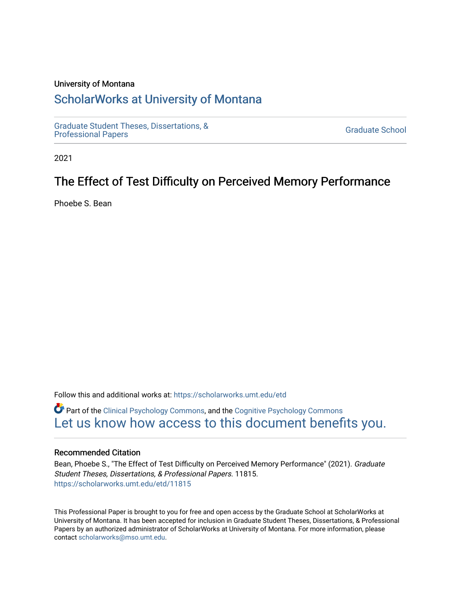#### University of Montana

# [ScholarWorks at University of Montana](https://scholarworks.umt.edu/)

[Graduate Student Theses, Dissertations, &](https://scholarworks.umt.edu/etd) Graduate Student Theses, Dissertations, & Contract Control of the Graduate School [Professional Papers](https://scholarworks.umt.edu/etd) Contract Control of the Contract Control of the Contract Control of the Contract Contract Contract Control of the Contra

2021

# The Effect of Test Difficulty on Perceived Memory Performance

Phoebe S. Bean

Follow this and additional works at: [https://scholarworks.umt.edu/etd](https://scholarworks.umt.edu/etd?utm_source=scholarworks.umt.edu%2Fetd%2F11815&utm_medium=PDF&utm_campaign=PDFCoverPages) 

Part of the [Clinical Psychology Commons,](http://network.bepress.com/hgg/discipline/406?utm_source=scholarworks.umt.edu%2Fetd%2F11815&utm_medium=PDF&utm_campaign=PDFCoverPages) and the [Cognitive Psychology Commons](http://network.bepress.com/hgg/discipline/408?utm_source=scholarworks.umt.edu%2Fetd%2F11815&utm_medium=PDF&utm_campaign=PDFCoverPages) [Let us know how access to this document benefits you.](https://goo.gl/forms/s2rGfXOLzz71qgsB2) 

#### Recommended Citation

Bean, Phoebe S., "The Effect of Test Difficulty on Perceived Memory Performance" (2021). Graduate Student Theses, Dissertations, & Professional Papers. 11815. [https://scholarworks.umt.edu/etd/11815](https://scholarworks.umt.edu/etd/11815?utm_source=scholarworks.umt.edu%2Fetd%2F11815&utm_medium=PDF&utm_campaign=PDFCoverPages) 

This Professional Paper is brought to you for free and open access by the Graduate School at ScholarWorks at University of Montana. It has been accepted for inclusion in Graduate Student Theses, Dissertations, & Professional Papers by an authorized administrator of ScholarWorks at University of Montana. For more information, please contact [scholarworks@mso.umt.edu](mailto:scholarworks@mso.umt.edu).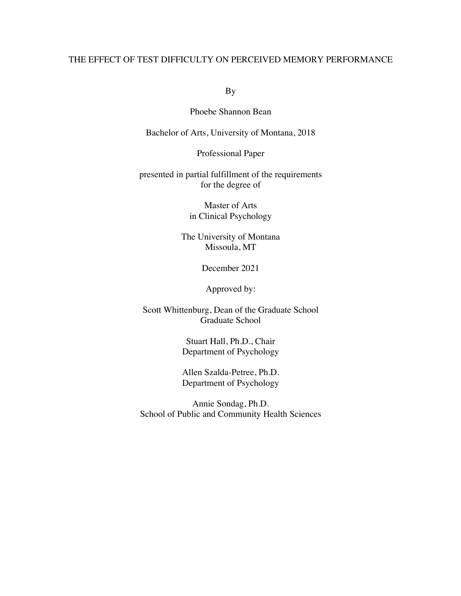# THE EFFECT OF TEST DIFFICULTY ON PERCEIVED MEMORY PERFORMANCE

By

Phoebe Shannon Bean

Bachelor of Arts, University of Montana, 2018

Professional Paper

presented in partial fulfillment of the requirements for the degree of

> Master of Arts in Clinical Psychology

The University of Montana Missoula, MT

December 2021

Approved by:

Scott Whittenburg, Dean of the Graduate School Graduate School

> Stuart Hall, Ph.D., Chair Department of Psychology

> Allen Szalda-Petree, Ph.D. Department of Psychology

Annie Sondag, Ph.D. School of Public and Community Health Sciences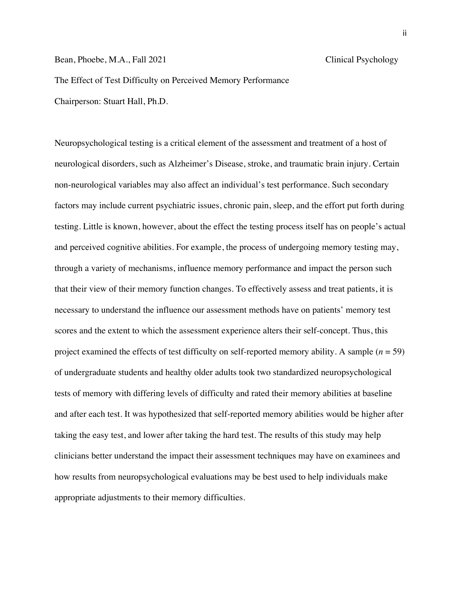Bean, Phoebe, M.A., Fall 2021 Clinical Psychology

The Effect of Test Difficulty on Perceived Memory Performance Chairperson: Stuart Hall, Ph.D.

Neuropsychological testing is a critical element of the assessment and treatment of a host of neurological disorders, such as Alzheimer's Disease, stroke, and traumatic brain injury. Certain non-neurological variables may also affect an individual's test performance. Such secondary factors may include current psychiatric issues, chronic pain, sleep, and the effort put forth during testing. Little is known, however, about the effect the testing process itself has on people's actual and perceived cognitive abilities. For example, the process of undergoing memory testing may, through a variety of mechanisms, influence memory performance and impact the person such that their view of their memory function changes. To effectively assess and treat patients, it is necessary to understand the influence our assessment methods have on patients' memory test scores and the extent to which the assessment experience alters their self-concept. Thus, this project examined the effects of test difficulty on self-reported memory ability. A sample (*n* = 59) of undergraduate students and healthy older adults took two standardized neuropsychological tests of memory with differing levels of difficulty and rated their memory abilities at baseline and after each test. It was hypothesized that self-reported memory abilities would be higher after taking the easy test, and lower after taking the hard test. The results of this study may help clinicians better understand the impact their assessment techniques may have on examinees and how results from neuropsychological evaluations may be best used to help individuals make appropriate adjustments to their memory difficulties.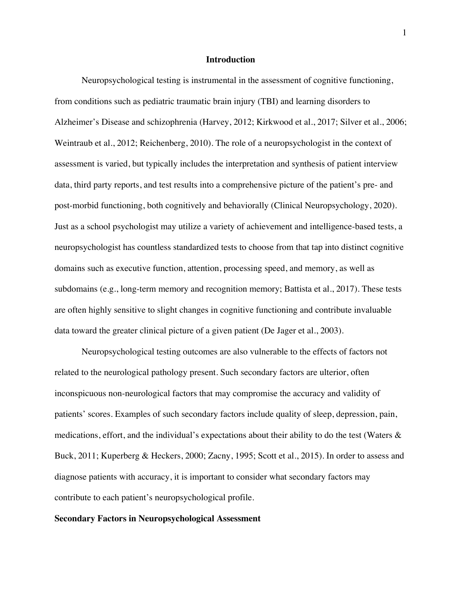#### **Introduction**

Neuropsychological testing is instrumental in the assessment of cognitive functioning, from conditions such as pediatric traumatic brain injury (TBI) and learning disorders to Alzheimer's Disease and schizophrenia (Harvey, 2012; Kirkwood et al., 2017; Silver et al., 2006; Weintraub et al., 2012; Reichenberg, 2010). The role of a neuropsychologist in the context of assessment is varied, but typically includes the interpretation and synthesis of patient interview data, third party reports, and test results into a comprehensive picture of the patient's pre- and post-morbid functioning, both cognitively and behaviorally (Clinical Neuropsychology, 2020). Just as a school psychologist may utilize a variety of achievement and intelligence-based tests, a neuropsychologist has countless standardized tests to choose from that tap into distinct cognitive domains such as executive function, attention, processing speed, and memory, as well as subdomains (e.g., long-term memory and recognition memory; Battista et al., 2017). These tests are often highly sensitive to slight changes in cognitive functioning and contribute invaluable data toward the greater clinical picture of a given patient (De Jager et al., 2003).

Neuropsychological testing outcomes are also vulnerable to the effects of factors not related to the neurological pathology present. Such secondary factors are ulterior, often inconspicuous non-neurological factors that may compromise the accuracy and validity of patients' scores. Examples of such secondary factors include quality of sleep, depression, pain, medications, effort, and the individual's expectations about their ability to do the test (Waters  $\&$ Buck, 2011; Kuperberg & Heckers, 2000; Zacny, 1995; Scott et al., 2015). In order to assess and diagnose patients with accuracy, it is important to consider what secondary factors may contribute to each patient's neuropsychological profile.

#### **Secondary Factors in Neuropsychological Assessment**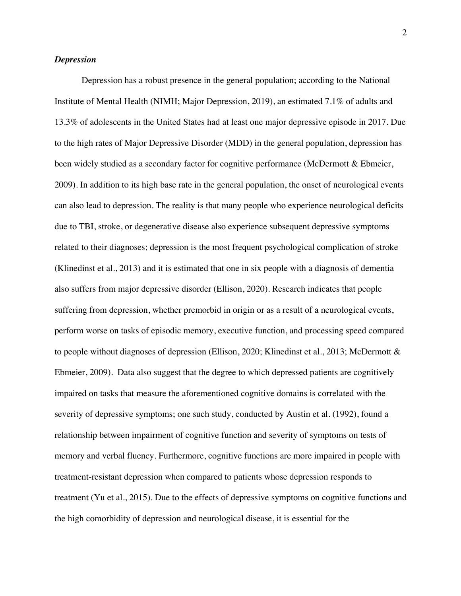#### *Depression*

Depression has a robust presence in the general population; according to the National Institute of Mental Health (NIMH; Major Depression, 2019), an estimated 7.1% of adults and 13.3% of adolescents in the United States had at least one major depressive episode in 2017. Due to the high rates of Major Depressive Disorder (MDD) in the general population, depression has been widely studied as a secondary factor for cognitive performance (McDermott & Ebmeier, 2009). In addition to its high base rate in the general population, the onset of neurological events can also lead to depression. The reality is that many people who experience neurological deficits due to TBI, stroke, or degenerative disease also experience subsequent depressive symptoms related to their diagnoses; depression is the most frequent psychological complication of stroke (Klinedinst et al., 2013) and it is estimated that one in six people with a diagnosis of dementia also suffers from major depressive disorder (Ellison, 2020). Research indicates that people suffering from depression, whether premorbid in origin or as a result of a neurological events, perform worse on tasks of episodic memory, executive function, and processing speed compared to people without diagnoses of depression (Ellison, 2020; Klinedinst et al., 2013; McDermott & Ebmeier, 2009). Data also suggest that the degree to which depressed patients are cognitively impaired on tasks that measure the aforementioned cognitive domains is correlated with the severity of depressive symptoms; one such study, conducted by Austin et al. (1992), found a relationship between impairment of cognitive function and severity of symptoms on tests of memory and verbal fluency. Furthermore, cognitive functions are more impaired in people with treatment-resistant depression when compared to patients whose depression responds to treatment (Yu et al., 2015). Due to the effects of depressive symptoms on cognitive functions and the high comorbidity of depression and neurological disease, it is essential for the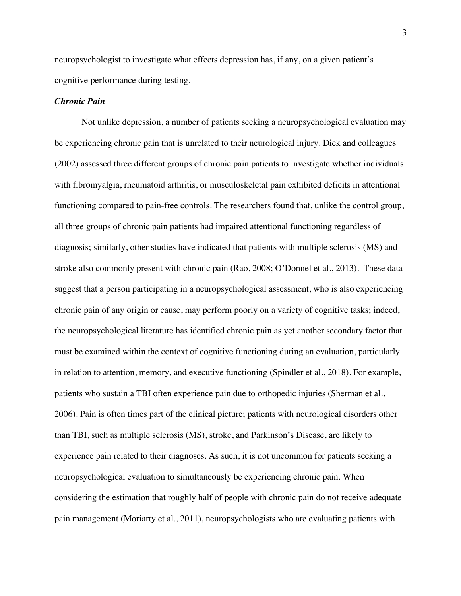neuropsychologist to investigate what effects depression has, if any, on a given patient's cognitive performance during testing.

#### *Chronic Pain*

Not unlike depression, a number of patients seeking a neuropsychological evaluation may be experiencing chronic pain that is unrelated to their neurological injury. Dick and colleagues (2002) assessed three different groups of chronic pain patients to investigate whether individuals with fibromyalgia, rheumatoid arthritis, or musculoskeletal pain exhibited deficits in attentional functioning compared to pain-free controls. The researchers found that, unlike the control group, all three groups of chronic pain patients had impaired attentional functioning regardless of diagnosis; similarly, other studies have indicated that patients with multiple sclerosis (MS) and stroke also commonly present with chronic pain (Rao, 2008; O'Donnel et al., 2013). These data suggest that a person participating in a neuropsychological assessment, who is also experiencing chronic pain of any origin or cause, may perform poorly on a variety of cognitive tasks; indeed, the neuropsychological literature has identified chronic pain as yet another secondary factor that must be examined within the context of cognitive functioning during an evaluation, particularly in relation to attention, memory, and executive functioning (Spindler et al., 2018). For example, patients who sustain a TBI often experience pain due to orthopedic injuries (Sherman et al., 2006). Pain is often times part of the clinical picture; patients with neurological disorders other than TBI, such as multiple sclerosis (MS), stroke, and Parkinson's Disease, are likely to experience pain related to their diagnoses. As such, it is not uncommon for patients seeking a neuropsychological evaluation to simultaneously be experiencing chronic pain. When considering the estimation that roughly half of people with chronic pain do not receive adequate pain management (Moriarty et al., 2011), neuropsychologists who are evaluating patients with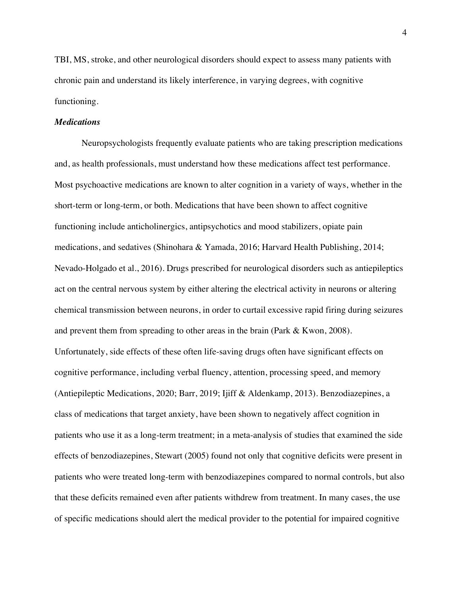TBI, MS, stroke, and other neurological disorders should expect to assess many patients with chronic pain and understand its likely interference, in varying degrees, with cognitive functioning.

#### *Medications*

Neuropsychologists frequently evaluate patients who are taking prescription medications and, as health professionals, must understand how these medications affect test performance. Most psychoactive medications are known to alter cognition in a variety of ways, whether in the short-term or long-term, or both. Medications that have been shown to affect cognitive functioning include anticholinergics, antipsychotics and mood stabilizers, opiate pain medications, and sedatives (Shinohara & Yamada, 2016; Harvard Health Publishing, 2014; Nevado-Holgado et al., 2016). Drugs prescribed for neurological disorders such as antiepileptics act on the central nervous system by either altering the electrical activity in neurons or altering chemical transmission between neurons, in order to curtail excessive rapid firing during seizures and prevent them from spreading to other areas in the brain (Park & Kwon, 2008). Unfortunately, side effects of these often life-saving drugs often have significant effects on cognitive performance, including verbal fluency, attention, processing speed, and memory (Antiepileptic Medications, 2020; Barr, 2019; Ijiff & Aldenkamp, 2013). Benzodiazepines, a class of medications that target anxiety, have been shown to negatively affect cognition in patients who use it as a long-term treatment; in a meta-analysis of studies that examined the side effects of benzodiazepines, Stewart (2005) found not only that cognitive deficits were present in patients who were treated long-term with benzodiazepines compared to normal controls, but also that these deficits remained even after patients withdrew from treatment. In many cases, the use of specific medications should alert the medical provider to the potential for impaired cognitive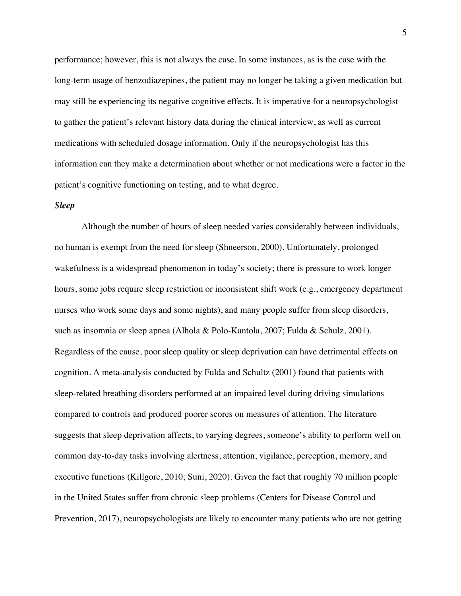performance; however, this is not always the case. In some instances, as is the case with the long-term usage of benzodiazepines, the patient may no longer be taking a given medication but may still be experiencing its negative cognitive effects. It is imperative for a neuropsychologist to gather the patient's relevant history data during the clinical interview, as well as current medications with scheduled dosage information. Only if the neuropsychologist has this information can they make a determination about whether or not medications were a factor in the patient's cognitive functioning on testing, and to what degree.

#### *Sleep*

Although the number of hours of sleep needed varies considerably between individuals, no human is exempt from the need for sleep (Shneerson, 2000). Unfortunately, prolonged wakefulness is a widespread phenomenon in today's society; there is pressure to work longer hours, some jobs require sleep restriction or inconsistent shift work (e.g., emergency department nurses who work some days and some nights), and many people suffer from sleep disorders, such as insomnia or sleep apnea (Alhola & Polo-Kantola, 2007; Fulda & Schulz, 2001). Regardless of the cause, poor sleep quality or sleep deprivation can have detrimental effects on cognition. A meta-analysis conducted by Fulda and Schultz (2001) found that patients with sleep-related breathing disorders performed at an impaired level during driving simulations compared to controls and produced poorer scores on measures of attention. The literature suggests that sleep deprivation affects, to varying degrees, someone's ability to perform well on common day-to-day tasks involving alertness, attention, vigilance, perception, memory, and executive functions (Killgore, 2010; Suni, 2020). Given the fact that roughly 70 million people in the United States suffer from chronic sleep problems (Centers for Disease Control and Prevention, 2017), neuropsychologists are likely to encounter many patients who are not getting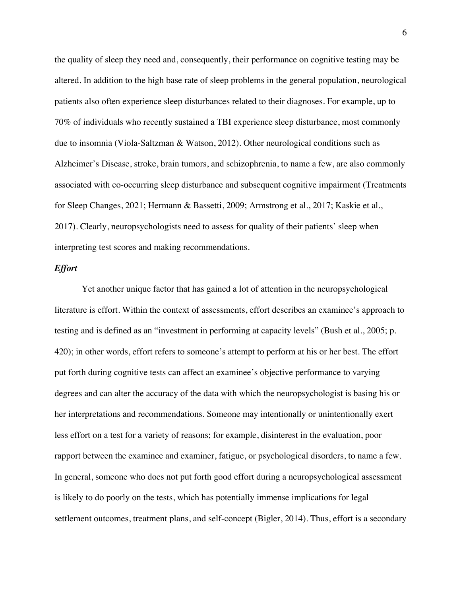the quality of sleep they need and, consequently, their performance on cognitive testing may be altered. In addition to the high base rate of sleep problems in the general population, neurological patients also often experience sleep disturbances related to their diagnoses. For example, up to 70% of individuals who recently sustained a TBI experience sleep disturbance, most commonly due to insomnia (Viola-Saltzman & Watson, 2012). Other neurological conditions such as Alzheimer's Disease, stroke, brain tumors, and schizophrenia, to name a few, are also commonly associated with co-occurring sleep disturbance and subsequent cognitive impairment (Treatments for Sleep Changes, 2021; Hermann & Bassetti, 2009; Armstrong et al., 2017; Kaskie et al., 2017). Clearly, neuropsychologists need to assess for quality of their patients' sleep when interpreting test scores and making recommendations.

#### *Effort*

Yet another unique factor that has gained a lot of attention in the neuropsychological literature is effort. Within the context of assessments, effort describes an examinee's approach to testing and is defined as an "investment in performing at capacity levels" (Bush et al., 2005; p. 420); in other words, effort refers to someone's attempt to perform at his or her best. The effort put forth during cognitive tests can affect an examinee's objective performance to varying degrees and can alter the accuracy of the data with which the neuropsychologist is basing his or her interpretations and recommendations. Someone may intentionally or unintentionally exert less effort on a test for a variety of reasons; for example, disinterest in the evaluation, poor rapport between the examinee and examiner, fatigue, or psychological disorders, to name a few. In general, someone who does not put forth good effort during a neuropsychological assessment is likely to do poorly on the tests, which has potentially immense implications for legal settlement outcomes, treatment plans, and self-concept (Bigler, 2014). Thus, effort is a secondary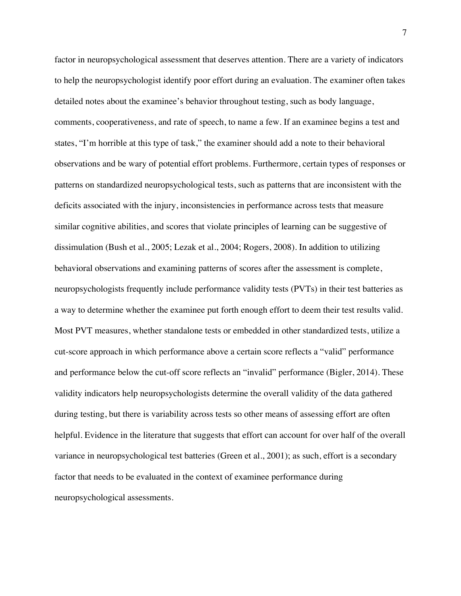factor in neuropsychological assessment that deserves attention. There are a variety of indicators to help the neuropsychologist identify poor effort during an evaluation. The examiner often takes detailed notes about the examinee's behavior throughout testing, such as body language, comments, cooperativeness, and rate of speech, to name a few. If an examinee begins a test and states, "I'm horrible at this type of task," the examiner should add a note to their behavioral observations and be wary of potential effort problems. Furthermore, certain types of responses or patterns on standardized neuropsychological tests, such as patterns that are inconsistent with the deficits associated with the injury, inconsistencies in performance across tests that measure similar cognitive abilities, and scores that violate principles of learning can be suggestive of dissimulation (Bush et al., 2005; Lezak et al., 2004; Rogers, 2008). In addition to utilizing behavioral observations and examining patterns of scores after the assessment is complete, neuropsychologists frequently include performance validity tests (PVTs) in their test batteries as a way to determine whether the examinee put forth enough effort to deem their test results valid. Most PVT measures, whether standalone tests or embedded in other standardized tests, utilize a cut-score approach in which performance above a certain score reflects a "valid" performance and performance below the cut-off score reflects an "invalid" performance (Bigler, 2014). These validity indicators help neuropsychologists determine the overall validity of the data gathered during testing, but there is variability across tests so other means of assessing effort are often helpful. Evidence in the literature that suggests that effort can account for over half of the overall variance in neuropsychological test batteries (Green et al., 2001); as such, effort is a secondary factor that needs to be evaluated in the context of examinee performance during neuropsychological assessments.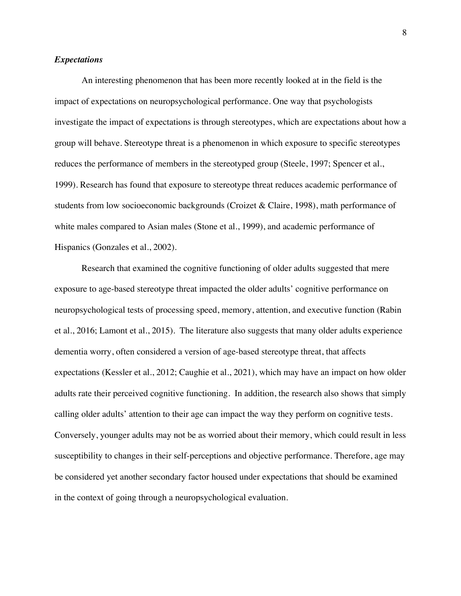#### *Expectations*

An interesting phenomenon that has been more recently looked at in the field is the impact of expectations on neuropsychological performance. One way that psychologists investigate the impact of expectations is through stereotypes, which are expectations about how a group will behave. Stereotype threat is a phenomenon in which exposure to specific stereotypes reduces the performance of members in the stereotyped group (Steele, 1997; Spencer et al., 1999). Research has found that exposure to stereotype threat reduces academic performance of students from low socioeconomic backgrounds (Croizet & Claire, 1998), math performance of white males compared to Asian males (Stone et al., 1999), and academic performance of Hispanics (Gonzales et al., 2002).

Research that examined the cognitive functioning of older adults suggested that mere exposure to age-based stereotype threat impacted the older adults' cognitive performance on neuropsychological tests of processing speed, memory, attention, and executive function (Rabin et al., 2016; Lamont et al., 2015). The literature also suggests that many older adults experience dementia worry, often considered a version of age-based stereotype threat, that affects expectations (Kessler et al., 2012; Caughie et al., 2021), which may have an impact on how older adults rate their perceived cognitive functioning. In addition, the research also shows that simply calling older adults' attention to their age can impact the way they perform on cognitive tests. Conversely, younger adults may not be as worried about their memory, which could result in less susceptibility to changes in their self-perceptions and objective performance. Therefore, age may be considered yet another secondary factor housed under expectations that should be examined in the context of going through a neuropsychological evaluation.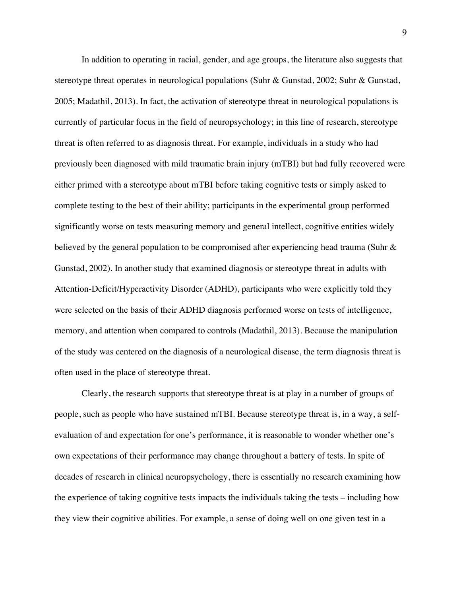In addition to operating in racial, gender, and age groups, the literature also suggests that stereotype threat operates in neurological populations (Suhr & Gunstad, 2002; Suhr & Gunstad, 2005; Madathil, 2013). In fact, the activation of stereotype threat in neurological populations is currently of particular focus in the field of neuropsychology; in this line of research, stereotype threat is often referred to as diagnosis threat. For example, individuals in a study who had previously been diagnosed with mild traumatic brain injury (mTBI) but had fully recovered were either primed with a stereotype about mTBI before taking cognitive tests or simply asked to complete testing to the best of their ability; participants in the experimental group performed significantly worse on tests measuring memory and general intellect, cognitive entities widely believed by the general population to be compromised after experiencing head trauma (Suhr & Gunstad, 2002). In another study that examined diagnosis or stereotype threat in adults with Attention-Deficit/Hyperactivity Disorder (ADHD), participants who were explicitly told they were selected on the basis of their ADHD diagnosis performed worse on tests of intelligence, memory, and attention when compared to controls (Madathil, 2013). Because the manipulation of the study was centered on the diagnosis of a neurological disease, the term diagnosis threat is often used in the place of stereotype threat.

Clearly, the research supports that stereotype threat is at play in a number of groups of people, such as people who have sustained mTBI. Because stereotype threat is, in a way, a selfevaluation of and expectation for one's performance, it is reasonable to wonder whether one's own expectations of their performance may change throughout a battery of tests. In spite of decades of research in clinical neuropsychology, there is essentially no research examining how the experience of taking cognitive tests impacts the individuals taking the tests – including how they view their cognitive abilities. For example, a sense of doing well on one given test in a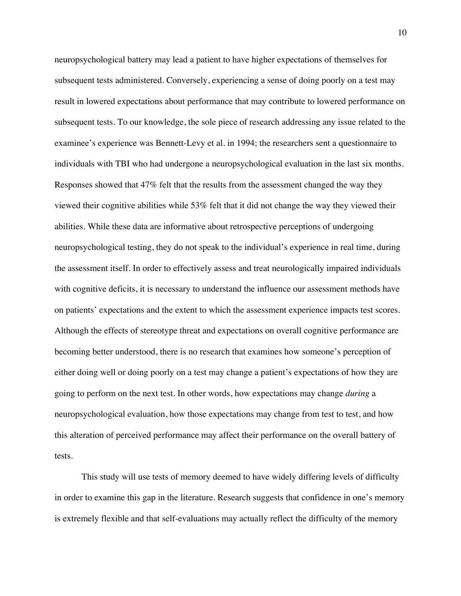neuropsychological battery may lead a patient to have higher expectations of themselves for subsequent tests administered. Conversely, experiencing a sense of doing poorly on a test may result in lowered expectations about performance that may contribute to lowered performance on subsequent tests. To our knowledge, the sole piece of research addressing any issue related to the examinee's experience was Bennett-Levy et al. in 1994; the researchers sent a questionnaire to individuals with TBI who had undergone a neuropsychological evaluation in the last six months. Responses showed that 47% felt that the results from the assessment changed the way they viewed their cognitive abilities while 53% felt that it did not change the way they viewed their abilities. While these data are informative about retrospective perceptions of undergoing neuropsychological testing, they do not speak to the individual's experience in real time, during the assessment itself. In order to effectively assess and treat neurologically impaired individuals with cognitive deficits, it is necessary to understand the influence our assessment methods have on patients' expectations and the extent to which the assessment experience impacts test scores. Although the effects of stereotype threat and expectations on overall cognitive performance are becoming better understood, there is no research that examines how someone's perception of either doing well or doing poorly on a test may change a patient's expectations of how they are going to perform on the next test. In other words, how expectations may change *during* a neuropsychological evaluation, how those expectations may change from test to test, and how this alteration of perceived performance may affect their performance on the overall battery of tests.

This study will use tests of memory deemed to have widely differing levels of difficulty in order to examine this gap in the literature. Research suggests that confidence in one's memory is extremely flexible and that self-evaluations may actually reflect the difficulty of the memory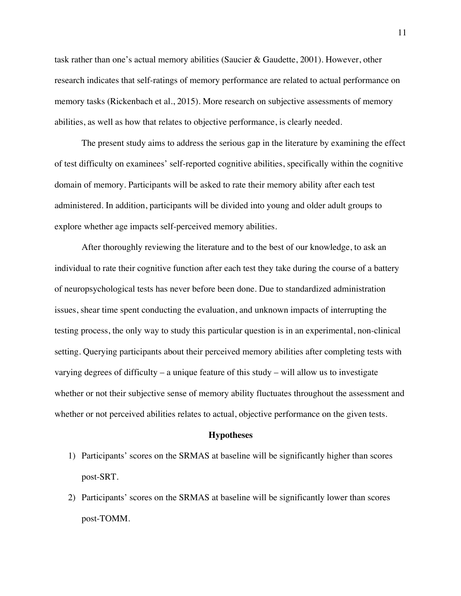task rather than one's actual memory abilities (Saucier & Gaudette, 2001). However, other research indicates that self-ratings of memory performance are related to actual performance on memory tasks (Rickenbach et al., 2015). More research on subjective assessments of memory abilities, as well as how that relates to objective performance, is clearly needed.

The present study aims to address the serious gap in the literature by examining the effect of test difficulty on examinees' self-reported cognitive abilities, specifically within the cognitive domain of memory. Participants will be asked to rate their memory ability after each test administered. In addition, participants will be divided into young and older adult groups to explore whether age impacts self-perceived memory abilities.

After thoroughly reviewing the literature and to the best of our knowledge, to ask an individual to rate their cognitive function after each test they take during the course of a battery of neuropsychological tests has never before been done. Due to standardized administration issues, shear time spent conducting the evaluation, and unknown impacts of interrupting the testing process, the only way to study this particular question is in an experimental, non-clinical setting. Querying participants about their perceived memory abilities after completing tests with varying degrees of difficulty – a unique feature of this study – will allow us to investigate whether or not their subjective sense of memory ability fluctuates throughout the assessment and whether or not perceived abilities relates to actual, objective performance on the given tests.

#### **Hypotheses**

- 1) Participants' scores on the SRMAS at baseline will be significantly higher than scores post-SRT.
- 2) Participants' scores on the SRMAS at baseline will be significantly lower than scores post-TOMM.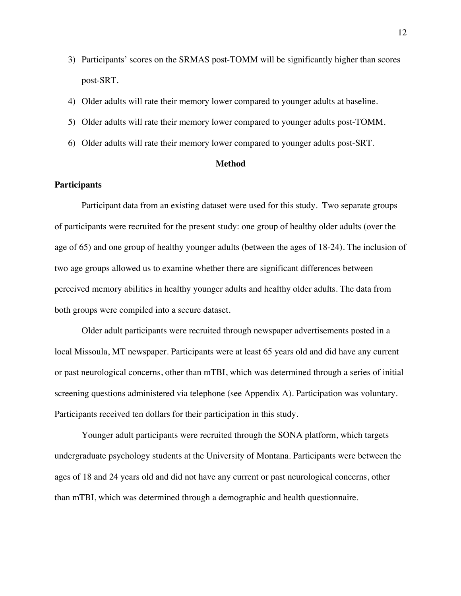- 3) Participants' scores on the SRMAS post-TOMM will be significantly higher than scores post-SRT.
- 4) Older adults will rate their memory lower compared to younger adults at baseline.
- 5) Older adults will rate their memory lower compared to younger adults post-TOMM.
- 6) Older adults will rate their memory lower compared to younger adults post-SRT.

#### **Method**

#### **Participants**

Participant data from an existing dataset were used for this study. Two separate groups of participants were recruited for the present study: one group of healthy older adults (over the age of 65) and one group of healthy younger adults (between the ages of 18-24). The inclusion of two age groups allowed us to examine whether there are significant differences between perceived memory abilities in healthy younger adults and healthy older adults. The data from both groups were compiled into a secure dataset.

Older adult participants were recruited through newspaper advertisements posted in a local Missoula, MT newspaper. Participants were at least 65 years old and did have any current or past neurological concerns, other than mTBI, which was determined through a series of initial screening questions administered via telephone (see Appendix A). Participation was voluntary. Participants received ten dollars for their participation in this study.

Younger adult participants were recruited through the SONA platform, which targets undergraduate psychology students at the University of Montana. Participants were between the ages of 18 and 24 years old and did not have any current or past neurological concerns, other than mTBI, which was determined through a demographic and health questionnaire.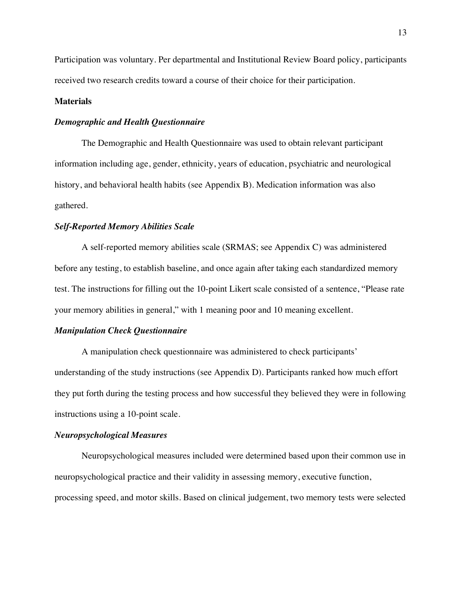Participation was voluntary. Per departmental and Institutional Review Board policy, participants received two research credits toward a course of their choice for their participation.

#### **Materials**

### *Demographic and Health Questionnaire*

The Demographic and Health Questionnaire was used to obtain relevant participant information including age, gender, ethnicity, years of education, psychiatric and neurological history, and behavioral health habits (see Appendix B). Medication information was also gathered.

#### *Self-Reported Memory Abilities Scale*

A self-reported memory abilities scale (SRMAS; see Appendix C) was administered before any testing, to establish baseline, and once again after taking each standardized memory test. The instructions for filling out the 10-point Likert scale consisted of a sentence, "Please rate your memory abilities in general," with 1 meaning poor and 10 meaning excellent.

#### *Manipulation Check Questionnaire*

A manipulation check questionnaire was administered to check participants' understanding of the study instructions (see Appendix D). Participants ranked how much effort they put forth during the testing process and how successful they believed they were in following instructions using a 10-point scale.

#### *Neuropsychological Measures*

Neuropsychological measures included were determined based upon their common use in neuropsychological practice and their validity in assessing memory, executive function, processing speed, and motor skills. Based on clinical judgement, two memory tests were selected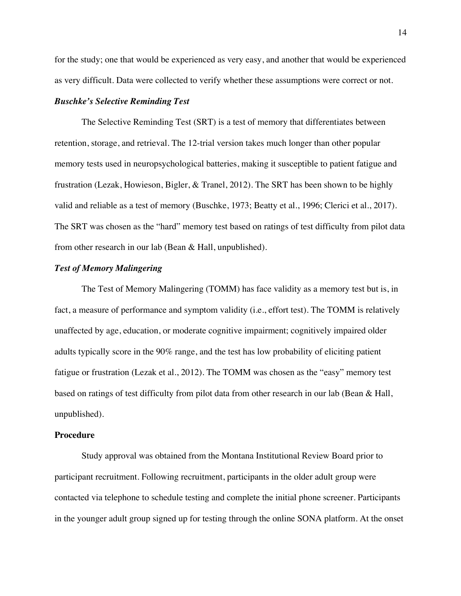for the study; one that would be experienced as very easy, and another that would be experienced as very difficult. Data were collected to verify whether these assumptions were correct or not.

#### *Buschke's Selective Reminding Test*

The Selective Reminding Test (SRT) is a test of memory that differentiates between retention, storage, and retrieval. The 12-trial version takes much longer than other popular memory tests used in neuropsychological batteries, making it susceptible to patient fatigue and frustration (Lezak, Howieson, Bigler, & Tranel, 2012). The SRT has been shown to be highly valid and reliable as a test of memory (Buschke, 1973; Beatty et al., 1996; Clerici et al., 2017). The SRT was chosen as the "hard" memory test based on ratings of test difficulty from pilot data from other research in our lab (Bean & Hall, unpublished).

#### *Test of Memory Malingering*

The Test of Memory Malingering (TOMM) has face validity as a memory test but is, in fact, a measure of performance and symptom validity (i.e., effort test). The TOMM is relatively unaffected by age, education, or moderate cognitive impairment; cognitively impaired older adults typically score in the 90% range, and the test has low probability of eliciting patient fatigue or frustration (Lezak et al., 2012). The TOMM was chosen as the "easy" memory test based on ratings of test difficulty from pilot data from other research in our lab (Bean & Hall, unpublished).

#### **Procedure**

Study approval was obtained from the Montana Institutional Review Board prior to participant recruitment. Following recruitment, participants in the older adult group were contacted via telephone to schedule testing and complete the initial phone screener. Participants in the younger adult group signed up for testing through the online SONA platform. At the onset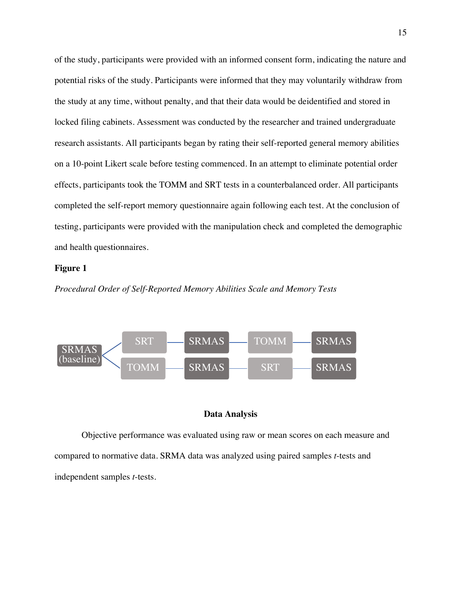of the study, participants were provided with an informed consent form, indicating the nature and potential risks of the study. Participants were informed that they may voluntarily withdraw from the study at any time, without penalty, and that their data would be deidentified and stored in locked filing cabinets. Assessment was conducted by the researcher and trained undergraduate research assistants. All participants began by rating their self-reported general memory abilities on a 10-point Likert scale before testing commenced. In an attempt to eliminate potential order effects, participants took the TOMM and SRT tests in a counterbalanced order. All participants completed the self-report memory questionnaire again following each test. At the conclusion of testing, participants were provided with the manipulation check and completed the demographic and health questionnaires.

#### **Figure 1**

*Procedural Order of Self-Reported Memory Abilities Scale and Memory Tests*



#### **Data Analysis**

Objective performance was evaluated using raw or mean scores on each measure and compared to normative data. SRMA data was analyzed using paired samples *t*-tests and independent samples *t*-tests.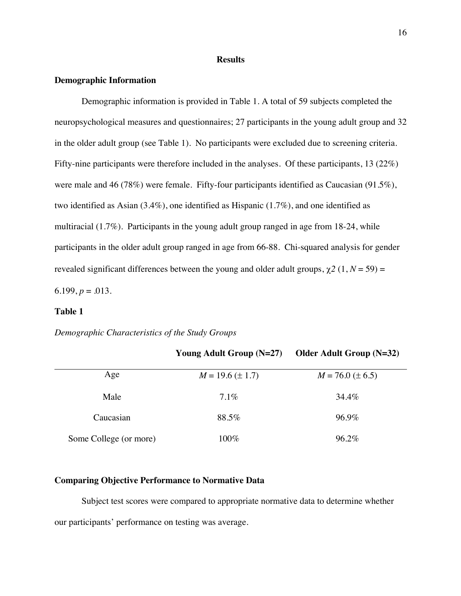#### **Results**

#### **Demographic Information**

Demographic information is provided in Table 1. A total of 59 subjects completed the neuropsychological measures and questionnaires; 27 participants in the young adult group and 32 in the older adult group (see Table 1). No participants were excluded due to screening criteria. Fifty-nine participants were therefore included in the analyses. Of these participants, 13 (22%) were male and 46 (78%) were female. Fifty-four participants identified as Caucasian (91.5%), two identified as Asian (3.4%), one identified as Hispanic (1.7%), and one identified as multiracial (1.7%). Participants in the young adult group ranged in age from 18-24, while participants in the older adult group ranged in age from 66-88. Chi-squared analysis for gender revealed significant differences between the young and older adult groups,  $\chi^2$  (1, *N* = 59) = 6.199,  $p = .013$ .

## **Table 1**

*Demographic Characteristics of the Study Groups*

| Age                    | $M = 19.6 (\pm 1.7)$ | $M = 76.0 (\pm 6.5)$ |
|------------------------|----------------------|----------------------|
|                        |                      |                      |
| Male                   | $7.1\%$              | 34.4%                |
|                        |                      |                      |
| Caucasian              | 88.5%                | 96.9%                |
|                        |                      |                      |
| Some College (or more) | 100%                 | 96.2%                |
|                        |                      |                      |

**Young Adult Group (N=27) Older Adult Group (N=32)**

#### **Comparing Objective Performance to Normative Data**

Subject test scores were compared to appropriate normative data to determine whether our participants' performance on testing was average.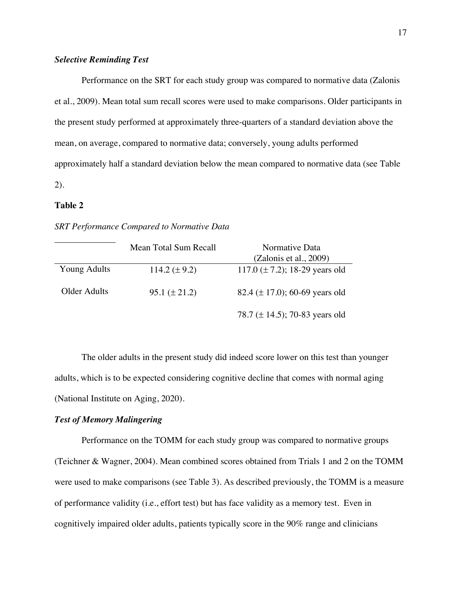#### *Selective Reminding Test*

Performance on the SRT for each study group was compared to normative data (Zalonis et al., 2009). Mean total sum recall scores were used to make comparisons. Older participants in the present study performed at approximately three-quarters of a standard deviation above the mean, on average, compared to normative data; conversely, young adults performed approximately half a standard deviation below the mean compared to normative data (see Table 2).

#### **Table 2**

#### *SRT Performance Compared to Normative Data*

|                     | Mean Total Sum Recall | Normative Data<br>(Zalonis et al., 2009) |
|---------------------|-----------------------|------------------------------------------|
| <b>Young Adults</b> | 114.2 $(\pm 9.2)$     | 117.0 $(\pm 7.2)$ ; 18-29 years old      |
| Older Adults        | $95.1 (\pm 21.2)$     | 82.4 ( $\pm$ 17.0); 60-69 years old      |
|                     |                       | 78.7 ( $\pm$ 14.5); 70-83 years old      |

The older adults in the present study did indeed score lower on this test than younger adults, which is to be expected considering cognitive decline that comes with normal aging (National Institute on Aging, 2020).

#### *Test of Memory Malingering*

Performance on the TOMM for each study group was compared to normative groups (Teichner & Wagner, 2004). Mean combined scores obtained from Trials 1 and 2 on the TOMM were used to make comparisons (see Table 3). As described previously, the TOMM is a measure of performance validity (i.e., effort test) but has face validity as a memory test. Even in cognitively impaired older adults, patients typically score in the 90% range and clinicians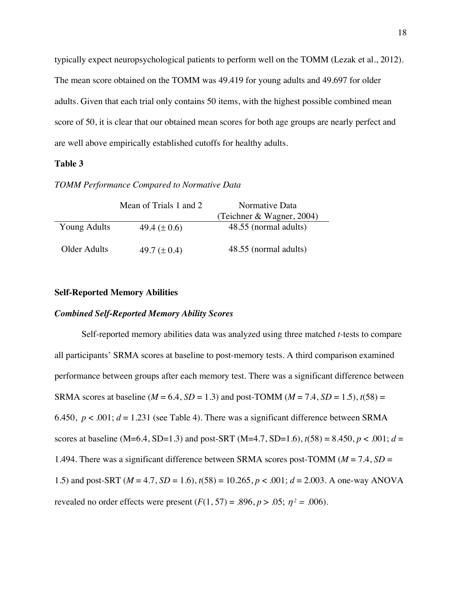typically expect neuropsychological patients to perform well on the TOMM (Lezak et al., 2012). The mean score obtained on the TOMM was 49.419 for young adults and 49.697 for older adults. Given that each trial only contains 50 items, with the highest possible combined mean score of 50, it is clear that our obtained mean scores for both age groups are nearly perfect and are well above empirically established cutoffs for healthy adults.

#### **Table 3**

#### *TOMM Performance Compared to Normative Data*

|              | Mean of Trials 1 and 2 | Normative Data            |
|--------------|------------------------|---------------------------|
|              |                        | (Teichner & Wagner, 2004) |
| Young Adults | 49.4 $(\pm 0.6)$       | 48.55 (normal adults)     |
| Older Adults | 49.7 $(\pm 0.4)$       | 48.55 (normal adults)     |

#### **Self-Reported Memory Abilities**

#### *Combined Self-Reported Memory Ability Scores*

Self-reported memory abilities data was analyzed using three matched *t-*tests to compare all participants' SRMA scores at baseline to post-memory tests. A third comparison examined performance between groups after each memory test. There was a significant difference between SRMA scores at baseline ( $M = 6.4$ ,  $SD = 1.3$ ) and post-TOMM ( $M = 7.4$ ,  $SD = 1.5$ ),  $t(58) =$ 6.450,  $p < .001$ ;  $d = 1.231$  (see Table 4). There was a significant difference between SRMA scores at baseline (M=6.4, SD=1.3) and post-SRT (M=4.7, SD=1.6),  $t(58) = 8.450$ ,  $p < .001$ ;  $d =$ 1.494. There was a significant difference between SRMA scores post-TOMM (*M* = 7.4, *SD* = 1.5) and post-SRT (*M* = 4.7, *SD* = 1.6), *t*(58) = 10.265, *p* < .001; *d* = 2.003. A one-way ANOVA revealed no order effects were present  $(F(1, 57) = .896, p > .05; \eta^2 = .006)$ .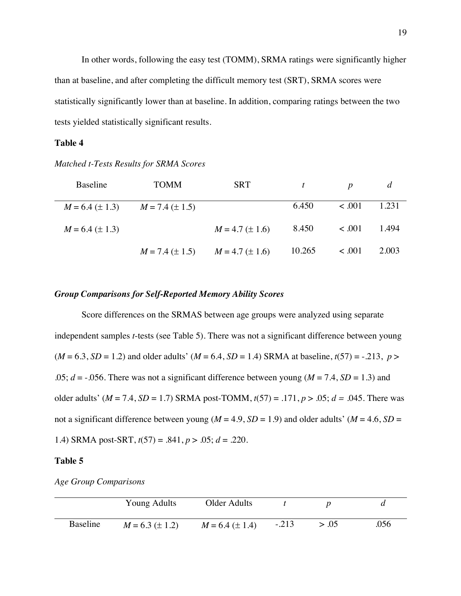In other words, following the easy test (TOMM), SRMA ratings were significantly higher than at baseline, and after completing the difficult memory test (SRT), SRMA scores were statistically significantly lower than at baseline. In addition, comparing ratings between the two tests yielded statistically significant results.

#### **Table 4**

| Baseline                                    | <b>TOMM</b>         | <b>SRT</b>          | $\mathbf{t}$ | $\boldsymbol{D}$ | d     |
|---------------------------------------------|---------------------|---------------------|--------------|------------------|-------|
| $M = 6.4 \ (\pm 1.3)$ $M = 7.4 \ (\pm 1.5)$ |                     |                     | 6.450        | $\leq .001$      | 1.231 |
| $M = 6.4 (\pm 1.3)$                         |                     | $M = 4.7 (\pm 1.6)$ | 8.450        | $\leq .001$      | 1.494 |
|                                             | $M = 7.4 (\pm 1.5)$ | $M = 4.7 (\pm 1.6)$ | 10.265       | 1001             | 2.003 |

#### *Matched t-Tests Results for SRMA Scores*

#### *Group Comparisons for Self-Reported Memory Ability Scores*

Score differences on the SRMAS between age groups were analyzed using separate independent samples *t*-tests (see Table 5). There was not a significant difference between young  $(M = 6.3, SD = 1.2)$  and older adults'  $(M = 6.4, SD = 1.4)$  SRMA at baseline,  $t(57) = -.213$ ,  $p >$ .05;  $d = -0.056$ . There was not a significant difference between young ( $M = 7.4$ ,  $SD = 1.3$ ) and older adults' (*M* = 7.4, *SD* = 1.7) SRMA post-TOMM, *t*(57) = .171, *p* > .05; *d = .*045. There was not a significant difference between young ( $M = 4.9$ ,  $SD = 1.9$ ) and older adults' ( $M = 4.6$ ,  $SD =$ 1.4) SRMA post-SRT, *t*(57) = .841, *p* > .05; *d* = .220.

#### **Table 5**

| <b>Age Group Comparisons</b> |  |  |
|------------------------------|--|--|
|------------------------------|--|--|

|          | Young Adults        | Older Adults        |         |       |      |
|----------|---------------------|---------------------|---------|-------|------|
| Baseline | $M = 6.3 (\pm 1.2)$ | $M = 6.4 (\pm 1.4)$ | $-.213$ | > .05 | .056 |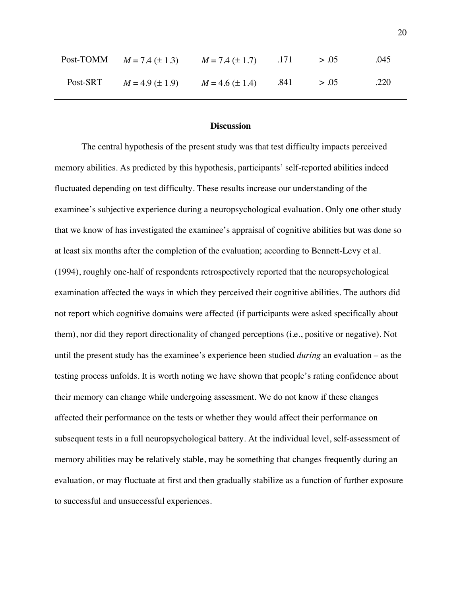|          | Post-TOMM $M = 7.4 (\pm 1.3)$ $M = 7.4 (\pm 1.7)$ .171 > .05 |  | .045 |
|----------|--------------------------------------------------------------|--|------|
| Post-SRT | $M = 4.9 \pm 1.9$ $M = 4.6 \pm 1.4$ $.841$ $> .05$           |  | .220 |

#### **Discussion**

The central hypothesis of the present study was that test difficulty impacts perceived memory abilities. As predicted by this hypothesis, participants' self-reported abilities indeed fluctuated depending on test difficulty. These results increase our understanding of the examinee's subjective experience during a neuropsychological evaluation. Only one other study that we know of has investigated the examinee's appraisal of cognitive abilities but was done so at least six months after the completion of the evaluation; according to Bennett-Levy et al. (1994), roughly one-half of respondents retrospectively reported that the neuropsychological examination affected the ways in which they perceived their cognitive abilities. The authors did not report which cognitive domains were affected (if participants were asked specifically about them), nor did they report directionality of changed perceptions (i.e., positive or negative). Not until the present study has the examinee's experience been studied *during* an evaluation – as the testing process unfolds. It is worth noting we have shown that people's rating confidence about their memory can change while undergoing assessment. We do not know if these changes affected their performance on the tests or whether they would affect their performance on subsequent tests in a full neuropsychological battery. At the individual level, self-assessment of memory abilities may be relatively stable, may be something that changes frequently during an evaluation, or may fluctuate at first and then gradually stabilize as a function of further exposure to successful and unsuccessful experiences.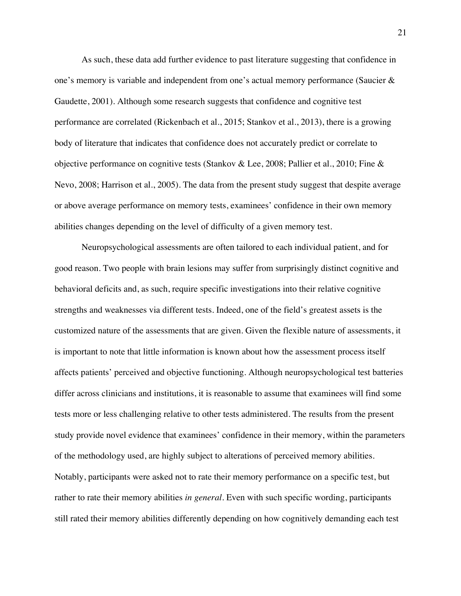As such, these data add further evidence to past literature suggesting that confidence in one's memory is variable and independent from one's actual memory performance (Saucier & Gaudette, 2001). Although some research suggests that confidence and cognitive test performance are correlated (Rickenbach et al., 2015; Stankov et al., 2013), there is a growing body of literature that indicates that confidence does not accurately predict or correlate to objective performance on cognitive tests (Stankov & Lee, 2008; Pallier et al., 2010; Fine & Nevo, 2008; Harrison et al., 2005). The data from the present study suggest that despite average or above average performance on memory tests, examinees' confidence in their own memory abilities changes depending on the level of difficulty of a given memory test.

Neuropsychological assessments are often tailored to each individual patient, and for good reason. Two people with brain lesions may suffer from surprisingly distinct cognitive and behavioral deficits and, as such, require specific investigations into their relative cognitive strengths and weaknesses via different tests. Indeed, one of the field's greatest assets is the customized nature of the assessments that are given. Given the flexible nature of assessments, it is important to note that little information is known about how the assessment process itself affects patients' perceived and objective functioning. Although neuropsychological test batteries differ across clinicians and institutions, it is reasonable to assume that examinees will find some tests more or less challenging relative to other tests administered. The results from the present study provide novel evidence that examinees' confidence in their memory, within the parameters of the methodology used, are highly subject to alterations of perceived memory abilities. Notably, participants were asked not to rate their memory performance on a specific test, but rather to rate their memory abilities *in general*. Even with such specific wording, participants still rated their memory abilities differently depending on how cognitively demanding each test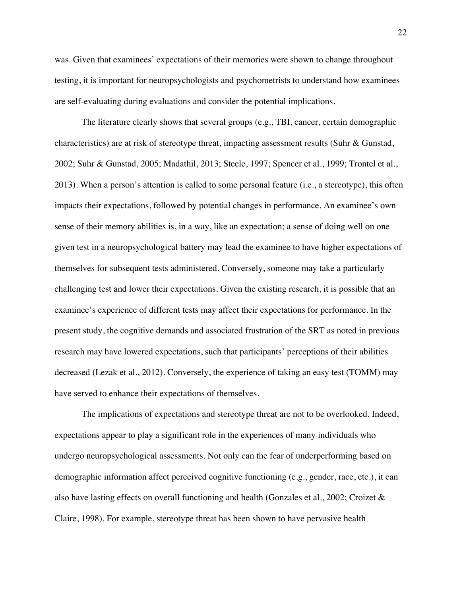was. Given that examinees' expectations of their memories were shown to change throughout testing, it is important for neuropsychologists and psychometrists to understand how examinees are self-evaluating during evaluations and consider the potential implications.

The literature clearly shows that several groups (e.g., TBI, cancer, certain demographic characteristics) are at risk of stereotype threat, impacting assessment results (Suhr & Gunstad, 2002; Suhr & Gunstad, 2005; Madathil, 2013; Steele, 1997; Spencer et al., 1999; Trontel et al., 2013). When a person's attention is called to some personal feature (i.e., a stereotype), this often impacts their expectations, followed by potential changes in performance. An examinee's own sense of their memory abilities is, in a way, like an expectation; a sense of doing well on one given test in a neuropsychological battery may lead the examinee to have higher expectations of themselves for subsequent tests administered. Conversely, someone may take a particularly challenging test and lower their expectations. Given the existing research, it is possible that an examinee's experience of different tests may affect their expectations for performance. In the present study, the cognitive demands and associated frustration of the SRT as noted in previous research may have lowered expectations, such that participants' perceptions of their abilities decreased (Lezak et al., 2012). Conversely, the experience of taking an easy test (TOMM) may have served to enhance their expectations of themselves.

The implications of expectations and stereotype threat are not to be overlooked. Indeed, expectations appear to play a significant role in the experiences of many individuals who undergo neuropsychological assessments. Not only can the fear of underperforming based on demographic information affect perceived cognitive functioning (e.g., gender, race, etc.), it can also have lasting effects on overall functioning and health (Gonzales et al., 2002; Croizet & Claire, 1998). For example, stereotype threat has been shown to have pervasive health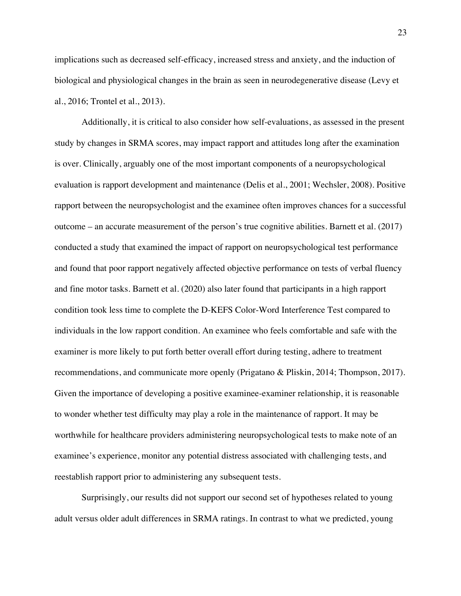implications such as decreased self-efficacy, increased stress and anxiety, and the induction of biological and physiological changes in the brain as seen in neurodegenerative disease (Levy et al., 2016; Trontel et al., 2013).

Additionally, it is critical to also consider how self-evaluations, as assessed in the present study by changes in SRMA scores, may impact rapport and attitudes long after the examination is over. Clinically, arguably one of the most important components of a neuropsychological evaluation is rapport development and maintenance (Delis et al., 2001; Wechsler, 2008). Positive rapport between the neuropsychologist and the examinee often improves chances for a successful outcome – an accurate measurement of the person's true cognitive abilities. Barnett et al. (2017) conducted a study that examined the impact of rapport on neuropsychological test performance and found that poor rapport negatively affected objective performance on tests of verbal fluency and fine motor tasks. Barnett et al. (2020) also later found that participants in a high rapport condition took less time to complete the D-KEFS Color-Word Interference Test compared to individuals in the low rapport condition. An examinee who feels comfortable and safe with the examiner is more likely to put forth better overall effort during testing, adhere to treatment recommendations, and communicate more openly (Prigatano & Pliskin, 2014; Thompson, 2017). Given the importance of developing a positive examinee-examiner relationship, it is reasonable to wonder whether test difficulty may play a role in the maintenance of rapport. It may be worthwhile for healthcare providers administering neuropsychological tests to make note of an examinee's experience, monitor any potential distress associated with challenging tests, and reestablish rapport prior to administering any subsequent tests.

Surprisingly, our results did not support our second set of hypotheses related to young adult versus older adult differences in SRMA ratings. In contrast to what we predicted, young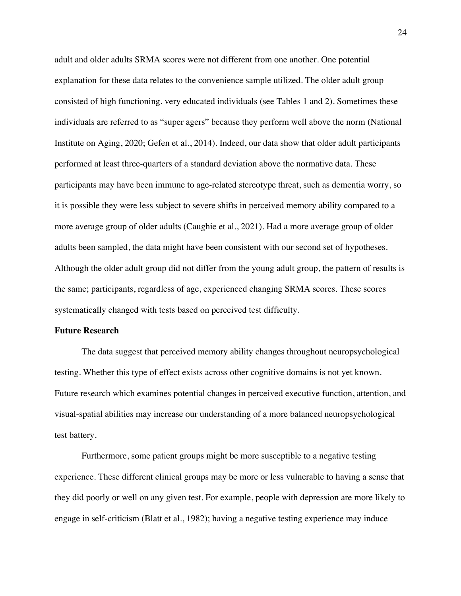adult and older adults SRMA scores were not different from one another. One potential explanation for these data relates to the convenience sample utilized. The older adult group consisted of high functioning, very educated individuals (see Tables 1 and 2). Sometimes these individuals are referred to as "super agers" because they perform well above the norm (National Institute on Aging, 2020; Gefen et al., 2014). Indeed, our data show that older adult participants performed at least three-quarters of a standard deviation above the normative data. These participants may have been immune to age-related stereotype threat, such as dementia worry, so it is possible they were less subject to severe shifts in perceived memory ability compared to a more average group of older adults (Caughie et al., 2021). Had a more average group of older adults been sampled, the data might have been consistent with our second set of hypotheses. Although the older adult group did not differ from the young adult group, the pattern of results is the same; participants, regardless of age, experienced changing SRMA scores. These scores systematically changed with tests based on perceived test difficulty.

#### **Future Research**

The data suggest that perceived memory ability changes throughout neuropsychological testing. Whether this type of effect exists across other cognitive domains is not yet known. Future research which examines potential changes in perceived executive function, attention, and visual-spatial abilities may increase our understanding of a more balanced neuropsychological test battery.

Furthermore, some patient groups might be more susceptible to a negative testing experience. These different clinical groups may be more or less vulnerable to having a sense that they did poorly or well on any given test. For example, people with depression are more likely to engage in self-criticism (Blatt et al., 1982); having a negative testing experience may induce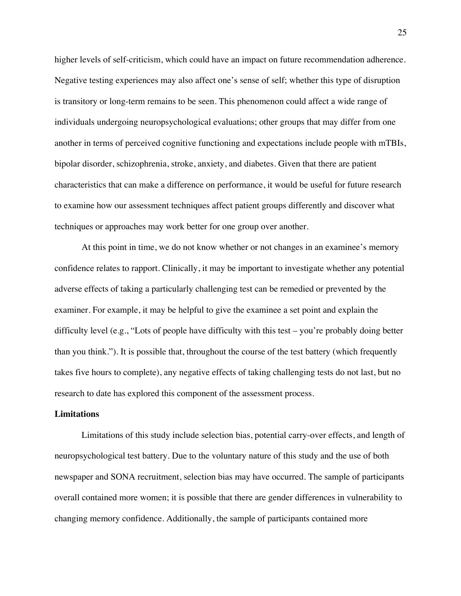higher levels of self-criticism, which could have an impact on future recommendation adherence. Negative testing experiences may also affect one's sense of self; whether this type of disruption is transitory or long-term remains to be seen. This phenomenon could affect a wide range of individuals undergoing neuropsychological evaluations; other groups that may differ from one another in terms of perceived cognitive functioning and expectations include people with mTBIs, bipolar disorder, schizophrenia, stroke, anxiety, and diabetes. Given that there are patient characteristics that can make a difference on performance, it would be useful for future research to examine how our assessment techniques affect patient groups differently and discover what techniques or approaches may work better for one group over another.

At this point in time, we do not know whether or not changes in an examinee's memory confidence relates to rapport. Clinically, it may be important to investigate whether any potential adverse effects of taking a particularly challenging test can be remedied or prevented by the examiner. For example, it may be helpful to give the examinee a set point and explain the difficulty level (e.g., "Lots of people have difficulty with this test – you're probably doing better than you think."). It is possible that, throughout the course of the test battery (which frequently takes five hours to complete), any negative effects of taking challenging tests do not last, but no research to date has explored this component of the assessment process.

#### **Limitations**

Limitations of this study include selection bias, potential carry-over effects, and length of neuropsychological test battery. Due to the voluntary nature of this study and the use of both newspaper and SONA recruitment, selection bias may have occurred. The sample of participants overall contained more women; it is possible that there are gender differences in vulnerability to changing memory confidence. Additionally, the sample of participants contained more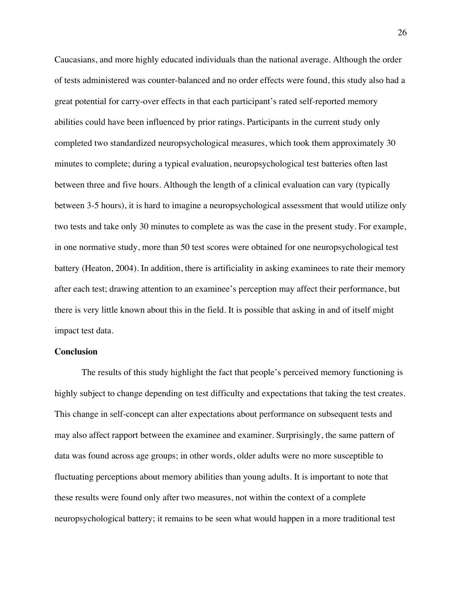Caucasians, and more highly educated individuals than the national average. Although the order of tests administered was counter-balanced and no order effects were found, this study also had a great potential for carry-over effects in that each participant's rated self-reported memory abilities could have been influenced by prior ratings. Participants in the current study only completed two standardized neuropsychological measures, which took them approximately 30 minutes to complete; during a typical evaluation, neuropsychological test batteries often last between three and five hours. Although the length of a clinical evaluation can vary (typically between 3-5 hours), it is hard to imagine a neuropsychological assessment that would utilize only two tests and take only 30 minutes to complete as was the case in the present study. For example, in one normative study, more than 50 test scores were obtained for one neuropsychological test battery (Heaton, 2004). In addition, there is artificiality in asking examinees to rate their memory after each test; drawing attention to an examinee's perception may affect their performance, but there is very little known about this in the field. It is possible that asking in and of itself might impact test data.

### **Conclusion**

The results of this study highlight the fact that people's perceived memory functioning is highly subject to change depending on test difficulty and expectations that taking the test creates. This change in self-concept can alter expectations about performance on subsequent tests and may also affect rapport between the examinee and examiner. Surprisingly, the same pattern of data was found across age groups; in other words, older adults were no more susceptible to fluctuating perceptions about memory abilities than young adults. It is important to note that these results were found only after two measures, not within the context of a complete neuropsychological battery; it remains to be seen what would happen in a more traditional test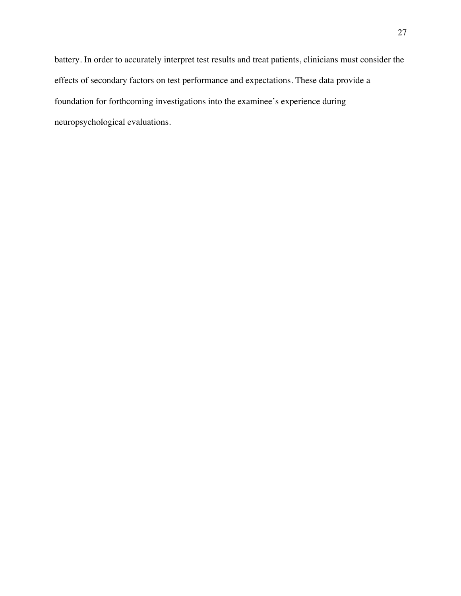battery. In order to accurately interpret test results and treat patients, clinicians must consider the effects of secondary factors on test performance and expectations. These data provide a foundation for forthcoming investigations into the examinee's experience during neuropsychological evaluations.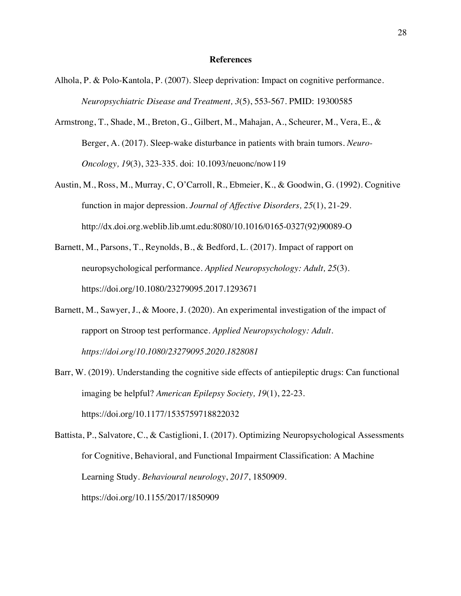#### **References**

- Alhola, P. & Polo-Kantola, P. (2007). Sleep deprivation: Impact on cognitive performance. *Neuropsychiatric Disease and Treatment, 3*(5), 553-567. PMID: 19300585
- Armstrong, T., Shade, M., Breton, G., Gilbert, M., Mahajan, A., Scheurer, M., Vera, E., & Berger, A. (2017). Sleep-wake disturbance in patients with brain tumors. *Neuro-Oncology, 19*(3), 323-335. doi: 10.1093/neuonc/now119
- Austin, M., Ross, M., Murray, C, O'Carroll, R., Ebmeier, K., & Goodwin, G. (1992). Cognitive function in major depression. *Journal of Affective Disorders, 25*(1), 21-29. http://dx.doi.org.weblib.lib.umt.edu:8080/10.1016/0165-0327(92)90089-O
- Barnett, M., Parsons, T., Reynolds, B., & Bedford, L. (2017). Impact of rapport on neuropsychological performance. *Applied Neuropsychology: Adult, 25*(3). https://doi.org/10.1080/23279095.2017.1293671
- Barnett, M., Sawyer, J., & Moore, J. (2020). An experimental investigation of the impact of rapport on Stroop test performance. *Applied Neuropsychology: Adult. https://doi.org/10.1080/23279095.2020.1828081*
- Barr, W. (2019). Understanding the cognitive side effects of antiepileptic drugs: Can functional imaging be helpful? *American Epilepsy Society, 19*(1), 22-23. https://doi.org/10.1177/1535759718822032

Battista, P., Salvatore, C., & Castiglioni, I. (2017). Optimizing Neuropsychological Assessments for Cognitive, Behavioral, and Functional Impairment Classification: A Machine Learning Study. *Behavioural neurology*, *2017*, 1850909. https://doi.org/10.1155/2017/1850909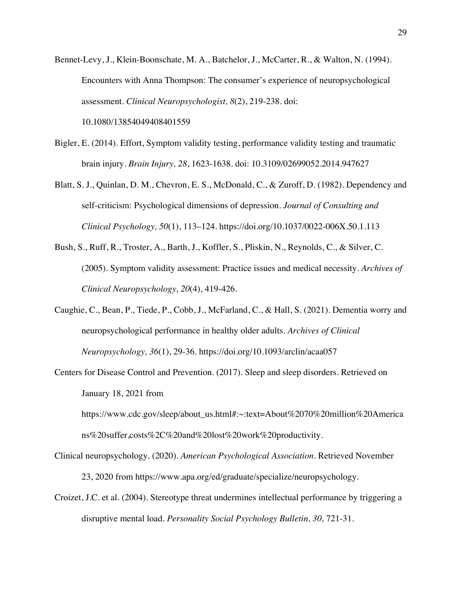Bennet-Levy, J., Klein-Boonschate, M. A., Batchelor, J., McCarter, R., & Walton, N. (1994). Encounters with Anna Thompson: The consumer's experience of neuropsychological assessment. *Clinical Neuropsychologist, 8*(2), 219-238. doi:

10.1080/13854049408401559

- Bigler, E. (2014). Effort, Symptom validity testing, performance validity testing and traumatic brain injury. *Brain Injury, 28*, 1623-1638. doi: 10.3109/02699052.2014.947627
- Blatt, S. J., Quinlan, D. M., Chevron, E. S., McDonald, C., & Zuroff, D. (1982). Dependency and self-criticism: Psychological dimensions of depression. *Journal of Consulting and Clinical Psychology, 50*(1), 113–124. https://doi.org/10.1037/0022-006X.50.1.113
- Bush, S., Ruff, R., Troster, A., Barth, J., Koffler, S., Pliskin, N., Reynolds, C., & Silver, C. (2005). Symptom validity assessment: Practice issues and medical necessity. *Archives of Clinical Neuropsychology, 20*(4), 419-426.
- Caughie, C., Bean, P., Tiede, P., Cobb, J., McFarland, C., & Hall, S. (2021). Dementia worry and neuropsychological performance in healthy older adults. *Archives of Clinical Neuropsychology, 36*(1), 29-36. https://doi.org/10.1093/arclin/acaa057
- Centers for Disease Control and Prevention. (2017). Sleep and sleep disorders. Retrieved on January 18, 2021 from https://www.cdc.gov/sleep/about\_us.html#:~:text=About%2070%20million%20America

ns%20suffer,costs%2C%20and%20lost%20work%20productivity.

- Clinical neuropsychology. (2020). *American Psychological Association.* Retrieved November 23, 2020 from https://www.apa.org/ed/graduate/specialize/neuropsychology.
- Croizet, J.C. et al. (2004). Stereotype threat undermines intellectual performance by triggering a disruptive mental load. *Personality Social Psychology Bulletin, 30,* 721-31.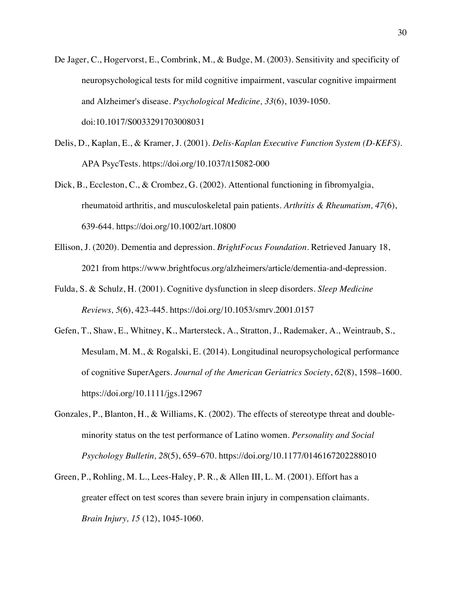- De Jager, C., Hogervorst, E., Combrink, M., & Budge, M. (2003). Sensitivity and specificity of neuropsychological tests for mild cognitive impairment, vascular cognitive impairment and Alzheimer's disease. *Psychological Medicine, 33*(6), 1039-1050. doi:10.1017/S0033291703008031
- Delis, D., Kaplan, E., & Kramer, J. (2001). *Delis-Kaplan Executive Function System (D-KEFS).*  APA PsycTests. https://doi.org/10.1037/t15082-000
- Dick, B., Eccleston, C., & Crombez, G. (2002). Attentional functioning in fibromyalgia, rheumatoid arthritis, and musculoskeletal pain patients. *Arthritis & Rheumatism, 47*(6), 639-644. https://doi.org/10.1002/art.10800
- Ellison, J. (2020). Dementia and depression. *BrightFocus Foundation.* Retrieved January 18, 2021 from https://www.brightfocus.org/alzheimers/article/dementia-and-depression.
- Fulda, S. & Schulz, H. (2001). Cognitive dysfunction in sleep disorders. *Sleep Medicine Reviews, 5*(6), 423-445. https://doi.org/10.1053/smrv.2001.0157
- Gefen, T., Shaw, E., Whitney, K., Martersteck, A., Stratton, J., Rademaker, A., Weintraub, S., Mesulam, M. M., & Rogalski, E. (2014). Longitudinal neuropsychological performance of cognitive SuperAgers. *Journal of the American Geriatrics Society*, *62*(8), 1598–1600. https://doi.org/10.1111/jgs.12967
- Gonzales, P., Blanton, H., & Williams, K. (2002). The effects of stereotype threat and doubleminority status on the test performance of Latino women. *Personality and Social Psychology Bulletin, 28*(5), 659–670. https://doi.org/10.1177/0146167202288010
- Green, P., Rohling, M. L., Lees-Haley, P. R., & Allen III, L. M. (2001). Effort has a greater effect on test scores than severe brain injury in compensation claimants. *Brain Injury, 15* (12), 1045-1060.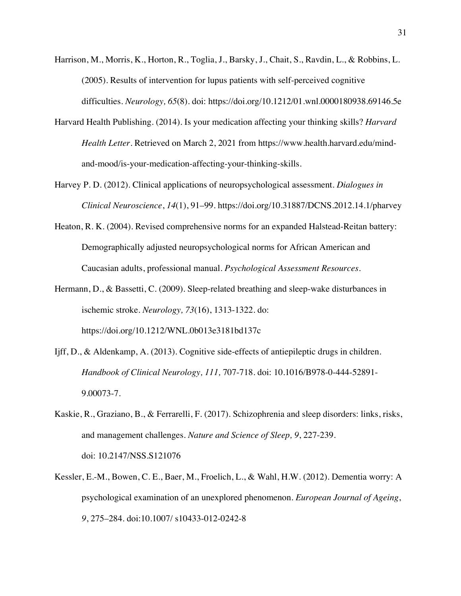- Harrison, M., Morris, K., Horton, R., Toglia, J., Barsky, J., Chait, S., Ravdin, L., & Robbins, L. (2005). Results of intervention for lupus patients with self-perceived cognitive difficulties. *Neurology, 65*(8). doi: https://doi.org/10.1212/01.wnl.0000180938.69146.5e
- Harvard Health Publishing. (2014). Is your medication affecting your thinking skills? *Harvard Health Letter.* Retrieved on March 2, 2021 from https://www.health.harvard.edu/mindand-mood/is-your-medication-affecting-your-thinking-skills.
- Harvey P. D. (2012). Clinical applications of neuropsychological assessment. *Dialogues in Clinical Neuroscience*, *14*(1), 91–99. https://doi.org/10.31887/DCNS.2012.14.1/pharvey
- Heaton, R. K. (2004). Revised comprehensive norms for an expanded Halstead-Reitan battery: Demographically adjusted neuropsychological norms for African American and Caucasian adults, professional manual. *Psychological Assessment Resources.*
- Hermann, D., & Bassetti, C. (2009). Sleep-related breathing and sleep-wake disturbances in ischemic stroke. *Neurology, 73*(16), 1313-1322. do: https://doi.org/10.1212/WNL.0b013e3181bd137c
- Ijff, D., & Aldenkamp, A. (2013). Cognitive side-effects of antiepileptic drugs in children. *Handbook of Clinical Neurology, 111,* 707-718. doi: 10.1016/B978-0-444-52891- 9.00073-7.
- Kaskie, R., Graziano, B., & Ferrarelli, F. (2017). Schizophrenia and sleep disorders: links, risks, and management challenges. *Nature and Science of Sleep, 9*, 227-239. doi: 10.2147/NSS.S121076
- Kessler, E.-M., Bowen, C. E., Baer, M., Froelich, L., & Wahl, H.W. (2012). Dementia worry: A psychological examination of an unexplored phenomenon. *European Journal of Ageing*, *9*, 275–284. doi:10.1007/ s10433-012-0242-8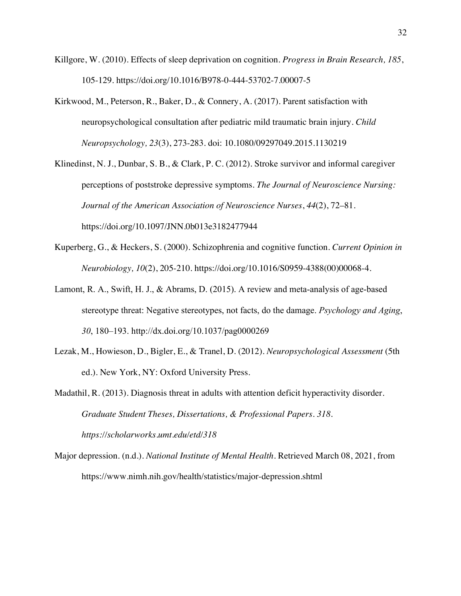- Killgore, W. (2010). Effects of sleep deprivation on cognition. *Progress in Brain Research, 185*, 105-129. https://doi.org/10.1016/B978-0-444-53702-7.00007-5
- Kirkwood, M., Peterson, R., Baker, D., & Connery, A. (2017). Parent satisfaction with neuropsychological consultation after pediatric mild traumatic brain injury. *Child Neuropsychology, 23*(3), 273-283. doi: 10.1080/09297049.2015.1130219
- Klinedinst, N. J., Dunbar, S. B., & Clark, P. C. (2012). Stroke survivor and informal caregiver perceptions of poststroke depressive symptoms. *The Journal of Neuroscience Nursing: Journal of the American Association of Neuroscience Nurses*, *44*(2), 72–81. https://doi.org/10.1097/JNN.0b013e3182477944
- Kuperberg, G., & Heckers, S. (2000). Schizophrenia and cognitive function. *Current Opinion in Neurobiology, 10*(2), 205-210. https://doi.org/10.1016/S0959-4388(00)00068-4.
- Lamont, R. A., Swift, H. J., & Abrams, D. (2015). A review and meta-analysis of age-based stereotype threat: Negative stereotypes, not facts, do the damage. *Psychology and Aging*, *30*, 180–193. http://dx.doi.org/10.1037/pag0000269
- Lezak, M., Howieson, D., Bigler, E., & Tranel, D. (2012). *Neuropsychological Assessment* (5th ed.). New York, NY: Oxford University Press.

Madathil, R. (2013). Diagnosis threat in adults with attention deficit hyperactivity disorder. *Graduate Student Theses, Dissertations, & Professional Papers. 318. https://scholarworks.umt.edu/etd/318*

Major depression. (n.d.). *National Institute of Mental Health.* Retrieved March 08, 2021, from https://www.nimh.nih.gov/health/statistics/major-depression.shtml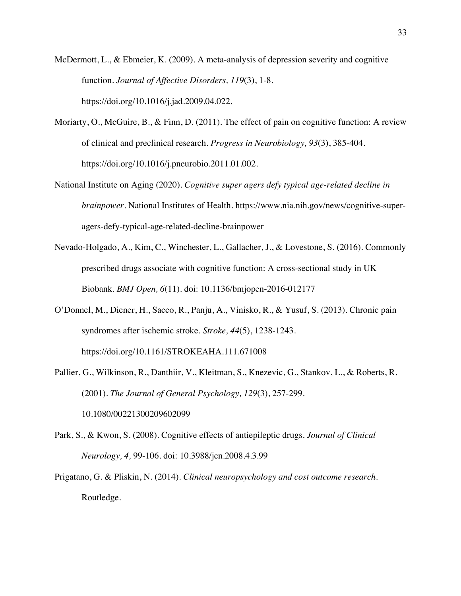- McDermott, L., & Ebmeier, K. (2009). A meta-analysis of depression severity and cognitive function. *Journal of Affective Disorders, 119*(3), 1-8. https://doi.org/10.1016/j.jad.2009.04.022.
- Moriarty, O., McGuire, B., & Finn, D. (2011). The effect of pain on cognitive function: A review of clinical and preclinical research. *Progress in Neurobiology, 93*(3), 385-404. https://doi.org/10.1016/j.pneurobio.2011.01.002.
- National Institute on Aging (2020). *Cognitive super agers defy typical age-related decline in brainpower.* National Institutes of Health. https://www.nia.nih.gov/news/cognitive-superagers-defy-typical-age-related-decline-brainpower
- Nevado-Holgado, A., Kim, C., Winchester, L., Gallacher, J., & Lovestone, S. (2016). Commonly prescribed drugs associate with cognitive function: A cross-sectional study in UK Biobank. *BMJ Open, 6*(11). doi: 10.1136/bmjopen-2016-012177
- O'Donnel, M., Diener, H., Sacco, R., Panju, A., Vinisko, R., & Yusuf, S. (2013). Chronic pain syndromes after ischemic stroke. *Stroke, 44*(5), 1238-1243. https://doi.org/10.1161/STROKEAHA.111.671008
- Pallier, G., Wilkinson, R., Danthiir, V., Kleitman, S., Knezevic, G., Stankov, L., & Roberts, R. (2001). *The Journal of General Psychology, 129*(3), 257-299. 10.1080/00221300209602099
- Park, S., & Kwon, S. (2008). Cognitive effects of antiepileptic drugs. *Journal of Clinical Neurology, 4,* 99-106. doi: 10.3988/jcn.2008.4.3.99
- Prigatano, G. & Pliskin, N. (2014). *Clinical neuropsychology and cost outcome research.* Routledge.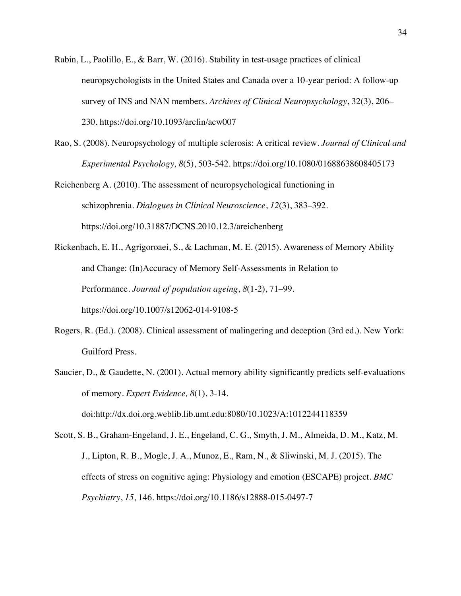- Rabin, L., Paolillo, E., & Barr, W. (2016). Stability in test-usage practices of clinical neuropsychologists in the United States and Canada over a 10-year period: A follow-up survey of INS and NAN members. *Archives of Clinical Neuropsychology*, 32(3), 206– 230. https://doi.org/10.1093/arclin/acw007
- Rao, S. (2008). Neuropsychology of multiple sclerosis: A critical review. *Journal of Clinical and Experimental Psychology, 8*(5), 503-542. https://doi.org/10.1080/01688638608405173

Reichenberg A. (2010). The assessment of neuropsychological functioning in schizophrenia. *Dialogues in Clinical Neuroscience*, *12*(3), 383–392. https://doi.org/10.31887/DCNS.2010.12.3/areichenberg

Rickenbach, E. H., Agrigoroaei, S., & Lachman, M. E. (2015). Awareness of Memory Ability and Change: (In)Accuracy of Memory Self-Assessments in Relation to Performance. *Journal of population ageing*, *8*(1-2), 71–99. https://doi.org/10.1007/s12062-014-9108-5

- Rogers, R. (Ed.). (2008). Clinical assessment of malingering and deception (3rd ed.). New York: Guilford Press.
- Saucier, D., & Gaudette, N. (2001). Actual memory ability significantly predicts self-evaluations of memory. *Expert Evidence, 8*(1), 3-14. doi:http://dx.doi.org.weblib.lib.umt.edu:8080/10.1023/A:1012244118359

Scott, S. B., Graham-Engeland, J. E., Engeland, C. G., Smyth, J. M., Almeida, D. M., Katz, M. J., Lipton, R. B., Mogle, J. A., Munoz, E., Ram, N., & Sliwinski, M. J. (2015). The effects of stress on cognitive aging: Physiology and emotion (ESCAPE) project. *BMC Psychiatry*, *15*, 146. https://doi.org/10.1186/s12888-015-0497-7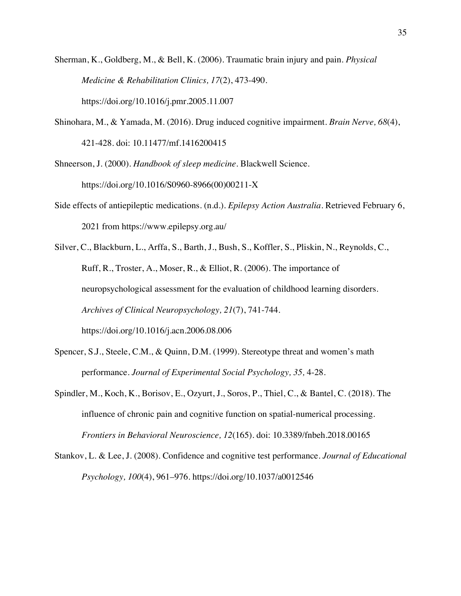- Sherman, K., Goldberg, M., & Bell, K. (2006). Traumatic brain injury and pain. *Physical Medicine & Rehabilitation Clinics, 17*(2), 473-490. https://doi.org/10.1016/j.pmr.2005.11.007
- Shinohara, M., & Yamada, M. (2016). Drug induced cognitive impairment. *Brain Nerve, 68*(4), 421-428. doi: 10.11477/mf.1416200415
- Shneerson, J. (2000). *Handbook of sleep medicine.* Blackwell Science. https://doi.org/10.1016/S0960-8966(00)00211-X
- Side effects of antiepileptic medications. (n.d.). *Epilepsy Action Australia.* Retrieved February 6, 2021 from https://www.epilepsy.org.au/
- Silver, C., Blackburn, L., Arffa, S., Barth, J., Bush, S., Koffler, S., Pliskin, N., Reynolds, C., Ruff, R., Troster, A., Moser, R., & Elliot, R. (2006). The importance of neuropsychological assessment for the evaluation of childhood learning disorders. *Archives of Clinical Neuropsychology, 21*(7), 741-744. https://doi.org/10.1016/j.acn.2006.08.006
- Spencer, S.J., Steele, C.M., & Quinn, D.M. (1999). Stereotype threat and women's math performance. *Journal of Experimental Social Psychology, 35,* 4-28.
- Spindler, M., Koch, K., Borisov, E., Ozyurt, J., Soros, P., Thiel, C., & Bantel, C. (2018). The influence of chronic pain and cognitive function on spatial-numerical processing. *Frontiers in Behavioral Neuroscience, 12*(165). doi: 10.3389/fnbeh.2018.00165
- Stankov, L. & Lee, J. (2008). Confidence and cognitive test performance. *Journal of Educational Psychology, 100*(4), 961–976. https://doi.org/10.1037/a0012546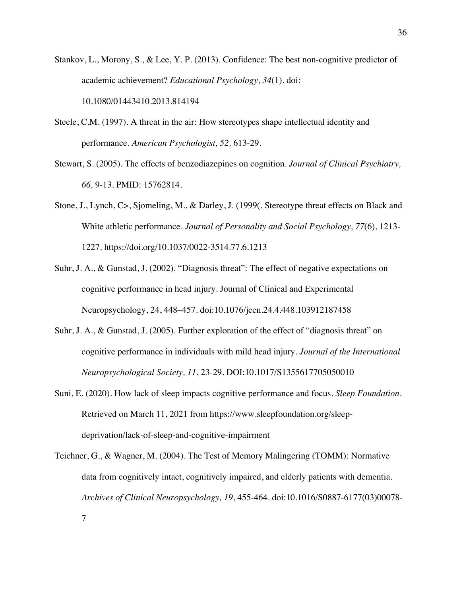- Stankov, L., Morony, S., & Lee, Y. P. (2013). Confidence: The best non-cognitive predictor of academic achievement? *Educational Psychology, 34*(1). doi: 10.1080/01443410.2013.814194
- Steele, C.M. (1997). A threat in the air: How stereotypes shape intellectual identity and performance. *American Psychologist, 52,* 613-29.
- Stewart, S. (2005). The effects of benzodiazepines on cognition. *Journal of Clinical Psychiatry, 66,* 9-13. PMID: 15762814.
- Stone, J., Lynch, C>, Sjomeling, M., & Darley, J. (1999(. Stereotype threat effects on Black and White athletic performance. *Journal of Personality and Social Psychology, 77*(6), 1213- 1227. https://doi.org/10.1037/0022-3514.77.6.1213
- Suhr, J. A., & Gunstad, J. (2002). "Diagnosis threat": The effect of negative expectations on cognitive performance in head injury. Journal of Clinical and Experimental Neuropsychology, 24, 448–457. doi:10.1076/jcen.24.4.448.103912187458
- Suhr, J. A., & Gunstad, J. (2005). Further exploration of the effect of "diagnosis threat" on cognitive performance in individuals with mild head injury. *Journal of the International Neuropsychological Society, 11*, 23-29. DOI:10.1017/S1355617705050010
- Suni, E. (2020). How lack of sleep impacts cognitive performance and focus. *Sleep Foundation.*  Retrieved on March 11, 2021 from https://www.sleepfoundation.org/sleepdeprivation/lack-of-sleep-and-cognitive-impairment
- Teichner, G., & Wagner, M. (2004). The Test of Memory Malingering (TOMM): Normative data from cognitively intact, cognitively impaired, and elderly patients with dementia. *Archives of Clinical Neuropsychology, 19*, 455-464. doi:10.1016/S0887-6177(03)00078-

7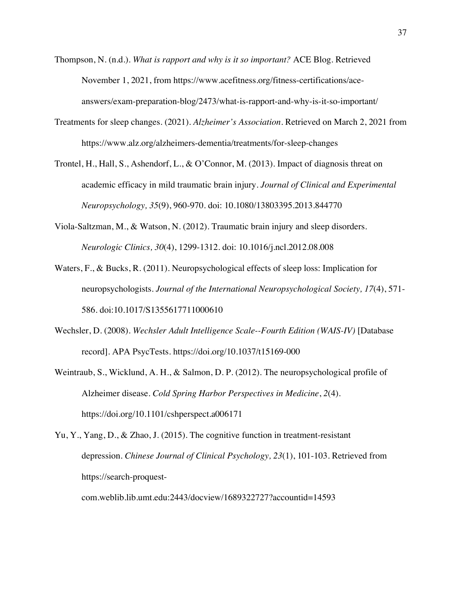- Thompson, N. (n.d.). *What is rapport and why is it so important?* ACE Blog. Retrieved November 1, 2021, from https://www.acefitness.org/fitness-certifications/aceanswers/exam-preparation-blog/2473/what-is-rapport-and-why-is-it-so-important/
- Treatments for sleep changes. (2021). *Alzheimer's Association.* Retrieved on March 2, 2021 from https://www.alz.org/alzheimers-dementia/treatments/for-sleep-changes
- Trontel, H., Hall, S., Ashendorf, L., & O'Connor, M. (2013). Impact of diagnosis threat on academic efficacy in mild traumatic brain injury. *Journal of Clinical and Experimental Neuropsychology, 35*(9), 960-970. doi: 10.1080/13803395.2013.844770
- Viola-Saltzman, M., & Watson, N. (2012). Traumatic brain injury and sleep disorders. *Neurologic Clinics, 30*(4), 1299-1312. doi: 10.1016/j.ncl.2012.08.008
- Waters, F., & Bucks, R. (2011). Neuropsychological effects of sleep loss: Implication for neuropsychologists. *Journal of the International Neuropsychological Society, 17*(4), 571- 586. doi:10.1017/S1355617711000610
- Wechsler, D. (2008). *Wechsler Adult Intelligence Scale--Fourth Edition (WAIS-IV)* [Database record]. APA PsycTests. https://doi.org/10.1037/t15169-000
- Weintraub, S., Wicklund, A. H., & Salmon, D. P. (2012). The neuropsychological profile of Alzheimer disease. *Cold Spring Harbor Perspectives in Medicine*, *2*(4). https://doi.org/10.1101/cshperspect.a006171
- Yu, Y., Yang, D., & Zhao, J. (2015). The cognitive function in treatment-resistant depression. *Chinese Journal of Clinical Psychology, 23*(1), 101-103. Retrieved from https://search-proquest-

com.weblib.lib.umt.edu:2443/docview/1689322727?accountid=14593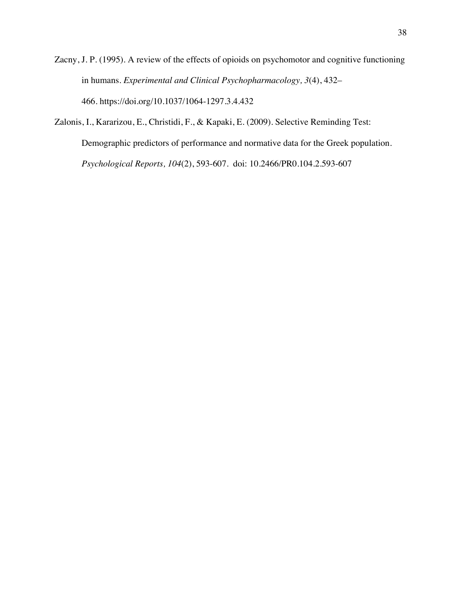Zacny, J. P. (1995). A review of the effects of opioids on psychomotor and cognitive functioning in humans. *Experimental and Clinical Psychopharmacology, 3*(4), 432– 466. https://doi.org/10.1037/1064-1297.3.4.432

Zalonis, I., Kararizou, E., Christidi, F., & Kapaki, E. (2009). Selective Reminding Test: Demographic predictors of performance and normative data for the Greek population. *Psychological Reports, 104*(2), 593-607. doi: 10.2466/PR0.104.2.593-607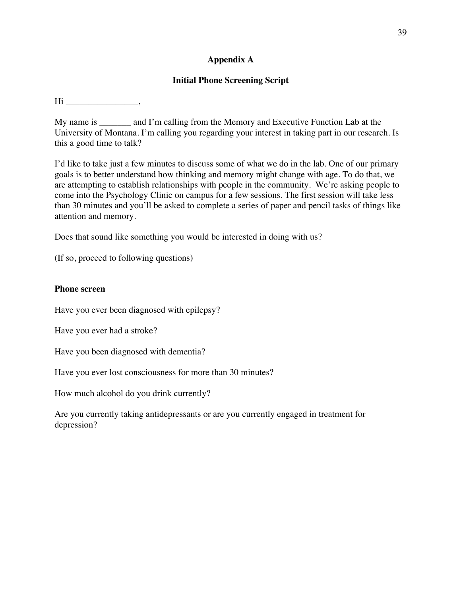# **Appendix A**

# **Initial Phone Screening Script**

Hi \_\_\_\_\_\_\_\_\_\_\_\_\_\_\_\_,

My name is \_\_\_\_\_\_\_ and I'm calling from the Memory and Executive Function Lab at the University of Montana. I'm calling you regarding your interest in taking part in our research. Is this a good time to talk?

I'd like to take just a few minutes to discuss some of what we do in the lab. One of our primary goals is to better understand how thinking and memory might change with age. To do that, we are attempting to establish relationships with people in the community. We're asking people to come into the Psychology Clinic on campus for a few sessions. The first session will take less than 30 minutes and you'll be asked to complete a series of paper and pencil tasks of things like attention and memory.

Does that sound like something you would be interested in doing with us?

(If so, proceed to following questions)

## **Phone screen**

Have you ever been diagnosed with epilepsy?

Have you ever had a stroke?

Have you been diagnosed with dementia?

Have you ever lost consciousness for more than 30 minutes?

How much alcohol do you drink currently?

Are you currently taking antidepressants or are you currently engaged in treatment for depression?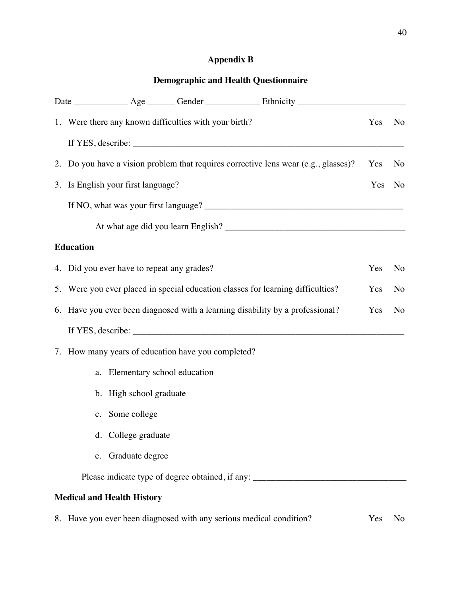# **Appendix B**

# **Demographic and Health Questionnaire**

|                                                                                 |                                    | 1. Were there any known difficulties with your birth? |                                                                                                                                                                                                                                                                           | Yes | No |  |
|---------------------------------------------------------------------------------|------------------------------------|-------------------------------------------------------|---------------------------------------------------------------------------------------------------------------------------------------------------------------------------------------------------------------------------------------------------------------------------|-----|----|--|
|                                                                                 |                                    |                                                       | If YES, describe: $\frac{1}{2}$ describe: $\frac{1}{2}$ describe: $\frac{1}{2}$ describe: $\frac{1}{2}$ describe: $\frac{1}{2}$ describe: $\frac{1}{2}$ describe: $\frac{1}{2}$ describe: $\frac{1}{2}$ describe: $\frac{1}{2}$ describe: $\frac{1}{2}$ describe: $\frac$ |     |    |  |
|                                                                                 |                                    |                                                       | 2. Do you have a vision problem that requires corrective lens wear (e.g., glasses)?                                                                                                                                                                                       | Yes | No |  |
|                                                                                 | 3. Is English your first language? |                                                       |                                                                                                                                                                                                                                                                           | Yes | No |  |
|                                                                                 |                                    |                                                       |                                                                                                                                                                                                                                                                           |     |    |  |
|                                                                                 |                                    |                                                       |                                                                                                                                                                                                                                                                           |     |    |  |
| <b>Education</b>                                                                |                                    |                                                       |                                                                                                                                                                                                                                                                           |     |    |  |
| 4. Did you ever have to repeat any grades?                                      |                                    |                                                       |                                                                                                                                                                                                                                                                           |     |    |  |
| 5. Were you ever placed in special education classes for learning difficulties? |                                    |                                                       |                                                                                                                                                                                                                                                                           |     |    |  |
|                                                                                 |                                    |                                                       | 6. Have you ever been diagnosed with a learning disability by a professional?                                                                                                                                                                                             | Yes | No |  |
|                                                                                 |                                    |                                                       | If YES, describe: $\frac{1}{2}$ describe:                                                                                                                                                                                                                                 |     |    |  |
|                                                                                 |                                    | 7. How many years of education have you completed?    |                                                                                                                                                                                                                                                                           |     |    |  |
|                                                                                 | a. Elementary school education     |                                                       |                                                                                                                                                                                                                                                                           |     |    |  |
|                                                                                 | b. High school graduate            |                                                       |                                                                                                                                                                                                                                                                           |     |    |  |
|                                                                                 | c. Some college                    |                                                       |                                                                                                                                                                                                                                                                           |     |    |  |
|                                                                                 | d. College graduate                |                                                       |                                                                                                                                                                                                                                                                           |     |    |  |
|                                                                                 | e. Graduate degree                 |                                                       |                                                                                                                                                                                                                                                                           |     |    |  |
|                                                                                 |                                    |                                                       | Please indicate type of degree obtained, if any: _______________________________                                                                                                                                                                                          |     |    |  |
|                                                                                 | <b>Medical and Health History</b>  |                                                       |                                                                                                                                                                                                                                                                           |     |    |  |

8. Have you ever been diagnosed with any serious medical condition? Yes No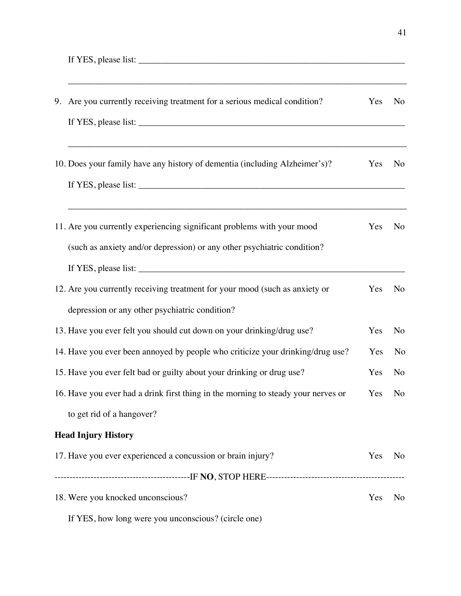If YES, please list:  $\frac{1}{\sqrt{1-\frac{1}{2}}\sqrt{1-\frac{1}{2}}\sqrt{1-\frac{1}{2}}\sqrt{1-\frac{1}{2}}\sqrt{1-\frac{1}{2}}\sqrt{1-\frac{1}{2}}\sqrt{1-\frac{1}{2}}\sqrt{1-\frac{1}{2}}\sqrt{1-\frac{1}{2}}\sqrt{1-\frac{1}{2}}\sqrt{1-\frac{1}{2}}\sqrt{1-\frac{1}{2}}\sqrt{1-\frac{1}{2}}\sqrt{1-\frac{1}{2}}\sqrt{1-\frac{1}{2}}\sqrt{1-\frac{1}{2}}\sqrt{1-\frac{1}{2}}\sqrt{1-\frac{$ 

| 9. Are you currently receiving treatment for a serious medical condition?                                                                                                                                                        | Yes | N <sub>o</sub> |
|----------------------------------------------------------------------------------------------------------------------------------------------------------------------------------------------------------------------------------|-----|----------------|
| If YES, please list: $\frac{1}{2}$ is the set of the set of the set of the set of the set of the set of the set of the set of the set of the set of the set of the set of the set of the set of the set of the set of the set of |     |                |
| 10. Does your family have any history of dementia (including Alzheimer's)?                                                                                                                                                       | Yes | N <sub>o</sub> |
|                                                                                                                                                                                                                                  |     |                |
| 11. Are you currently experiencing significant problems with your mood                                                                                                                                                           | Yes | No             |
| (such as anxiety and/or depression) or any other psychiatric condition?                                                                                                                                                          |     |                |
|                                                                                                                                                                                                                                  |     |                |
| 12. Are you currently receiving treatment for your mood (such as anxiety or                                                                                                                                                      | Yes | N <sub>o</sub> |
| depression or any other psychiatric condition?                                                                                                                                                                                   |     |                |
| 13. Have you ever felt you should cut down on your drinking/drug use?                                                                                                                                                            | Yes | No             |
| 14. Have you ever been annoyed by people who criticize your drinking/drug use?                                                                                                                                                   | Yes | No             |
| 15. Have you ever felt bad or guilty about your drinking or drug use?                                                                                                                                                            | Yes | N <sub>o</sub> |
| 16. Have you ever had a drink first thing in the morning to steady your nerves or                                                                                                                                                | Yes | N <sub>o</sub> |
| to get rid of a hangover?                                                                                                                                                                                                        |     |                |
| <b>Head Injury History</b>                                                                                                                                                                                                       |     |                |
| 17. Have you ever experienced a concussion or brain injury?                                                                                                                                                                      | Yes | N <sub>o</sub> |
|                                                                                                                                                                                                                                  |     |                |
| 18. Were you knocked unconscious?                                                                                                                                                                                                | Yes | N <sub>o</sub> |
| If YES, how long were you unconscious? (circle one)                                                                                                                                                                              |     |                |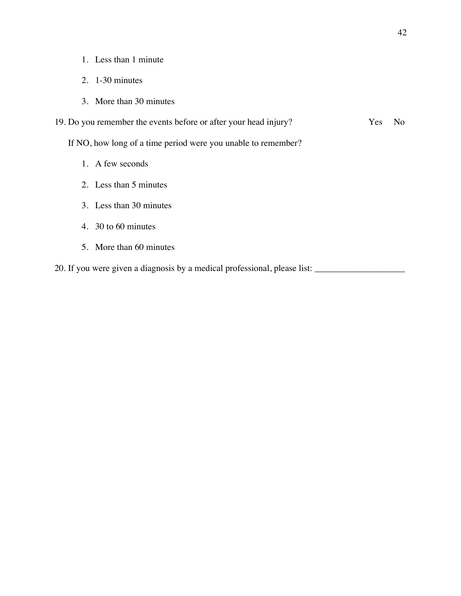- 1. Less than 1 minute
- 2. 1-30 minutes
- 3. More than 30 minutes
- 19. Do you remember the events before or after your head injury? Yes No

If NO, how long of a time period were you unable to remember?

- 1. A few seconds
- 2. Less than 5 minutes
- 3. Less than 30 minutes
- 4. 30 to 60 minutes
- 5. More than 60 minutes

20. If you were given a diagnosis by a medical professional, please list: \_\_\_\_\_\_\_\_\_\_\_\_\_\_\_\_\_\_\_\_\_\_\_\_\_\_\_\_\_\_\_\_\_\_\_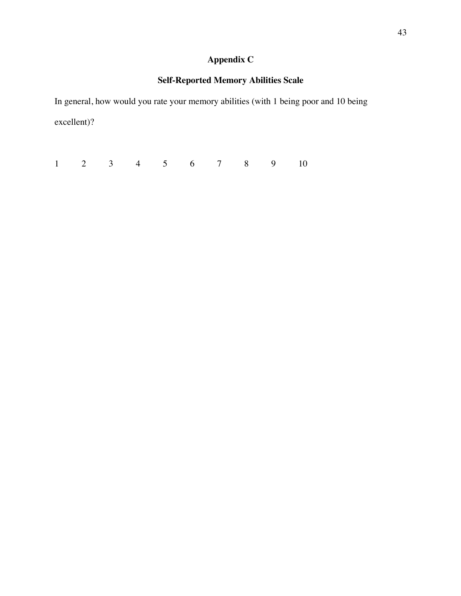# **Appendix C**

# **Self-Reported Memory Abilities Scale**

In general, how would you rate your memory abilities (with 1 being poor and 10 being excellent)?

1 2 3 4 5 6 7 8 9 10